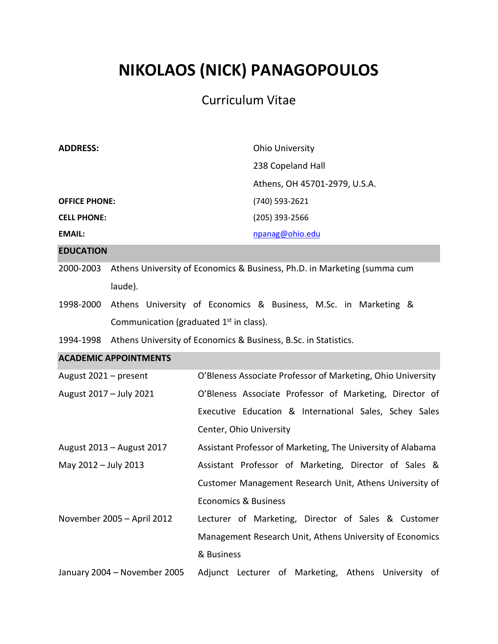# **NIKOLAOS (NICK) PANAGOPOULOS**

# Curriculum Vitae

| <b>ADDRESS:</b>                                                                                                                     |         | <b>Ohio University</b><br>238 Copeland Hall                              |  |  |  |           |                                                                 |  |
|-------------------------------------------------------------------------------------------------------------------------------------|---------|--------------------------------------------------------------------------|--|--|--|-----------|-----------------------------------------------------------------|--|
|                                                                                                                                     |         |                                                                          |  |  |  |           | Athens, OH 45701-2979, U.S.A.                                   |  |
| <b>OFFICE PHONE:</b>                                                                                                                |         | (740) 593-2621                                                           |  |  |  |           |                                                                 |  |
| <b>CELL PHONE:</b>                                                                                                                  |         | (205) 393-2566                                                           |  |  |  |           |                                                                 |  |
| <b>EMAIL:</b>                                                                                                                       |         | npanag@ohio.edu                                                          |  |  |  |           |                                                                 |  |
| <b>EDUCATION</b>                                                                                                                    |         |                                                                          |  |  |  |           |                                                                 |  |
| 2000-2003                                                                                                                           |         | Athens University of Economics & Business, Ph.D. in Marketing (summa cum |  |  |  |           |                                                                 |  |
|                                                                                                                                     | laude). |                                                                          |  |  |  |           |                                                                 |  |
| 1998-2000<br>Athens University of Economics & Business, M.Sc. in Marketing &<br>Communication (graduated 1 <sup>st</sup> in class). |         |                                                                          |  |  |  |           |                                                                 |  |
|                                                                                                                                     |         |                                                                          |  |  |  | 1994-1998 | Athens University of Economics & Business, B.Sc. in Statistics. |  |
| <b>ACADEMIC APPOINTMENTS</b>                                                                                                        |         |                                                                          |  |  |  |           |                                                                 |  |
| August 2021 - present                                                                                                               |         | O'Bleness Associate Professor of Marketing, Ohio University              |  |  |  |           |                                                                 |  |
| August 2017 - July 2021                                                                                                             |         | O'Bleness Associate Professor of Marketing, Director of                  |  |  |  |           |                                                                 |  |
|                                                                                                                                     |         | Executive Education & International Sales, Schey Sales                   |  |  |  |           |                                                                 |  |
|                                                                                                                                     |         | Center, Ohio University                                                  |  |  |  |           |                                                                 |  |
| August 2013 - August 2017                                                                                                           |         | Assistant Professor of Marketing, The University of Alabama              |  |  |  |           |                                                                 |  |
| May 2012 - July 2013                                                                                                                |         | Assistant Professor of Marketing, Director of Sales &                    |  |  |  |           |                                                                 |  |
|                                                                                                                                     |         | Customer Management Research Unit, Athens University of                  |  |  |  |           |                                                                 |  |
|                                                                                                                                     |         | <b>Economics &amp; Business</b>                                          |  |  |  |           |                                                                 |  |
| November 2005 - April 2012                                                                                                          |         | Lecturer of Marketing, Director of Sales & Customer                      |  |  |  |           |                                                                 |  |
|                                                                                                                                     |         | Management Research Unit, Athens University of Economics                 |  |  |  |           |                                                                 |  |
|                                                                                                                                     |         | & Business                                                               |  |  |  |           |                                                                 |  |
| January 2004 - November 2005                                                                                                        |         | Adjunct Lecturer of Marketing, Athens University of                      |  |  |  |           |                                                                 |  |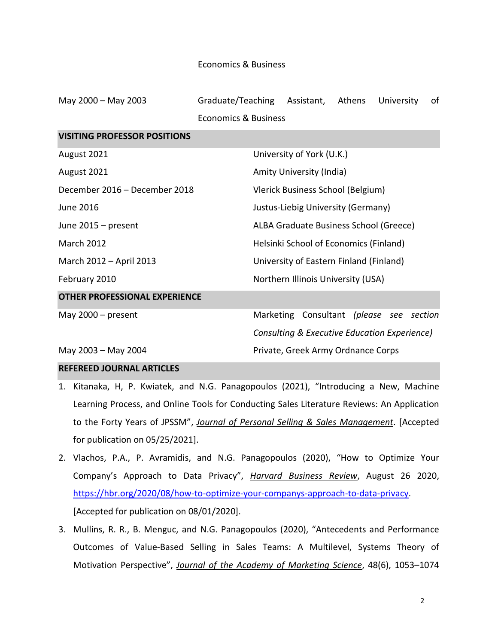#### Economics & Business

| May 2000 - May 2003                  | Graduate/Teaching | Assistant,                                   | Athens | University | of |  |  |  |
|--------------------------------------|-------------------|----------------------------------------------|--------|------------|----|--|--|--|
| <b>Economics &amp; Business</b>      |                   |                                              |        |            |    |  |  |  |
| <b>VISITING PROFESSOR POSITIONS</b>  |                   |                                              |        |            |    |  |  |  |
| August 2021                          |                   | University of York (U.K.)                    |        |            |    |  |  |  |
| August 2021                          |                   | Amity University (India)                     |        |            |    |  |  |  |
| December 2016 - December 2018        |                   | Vlerick Business School (Belgium)            |        |            |    |  |  |  |
| June 2016                            |                   | Justus-Liebig University (Germany)           |        |            |    |  |  |  |
| June 2015 – present                  |                   | ALBA Graduate Business School (Greece)       |        |            |    |  |  |  |
| <b>March 2012</b>                    |                   | Helsinki School of Economics (Finland)       |        |            |    |  |  |  |
| March 2012 - April 2013              |                   | University of Eastern Finland (Finland)      |        |            |    |  |  |  |
| February 2010                        |                   | Northern Illinois University (USA)           |        |            |    |  |  |  |
| <b>OTHER PROFESSIONAL EXPERIENCE</b> |                   |                                              |        |            |    |  |  |  |
| May $2000 - present$                 |                   | Marketing Consultant (please see section     |        |            |    |  |  |  |
|                                      |                   | Consulting & Executive Education Experience) |        |            |    |  |  |  |
| May 2003 - May 2004                  |                   | Private, Greek Army Ordnance Corps           |        |            |    |  |  |  |

# **REFEREED JOURNAL ARTICLES**

- 1. Kitanaka, H, P. Kwiatek, and N.G. Panagopoulos (2021), "Introducing a New, Machine Learning Process, and Online Tools for Conducting Sales Literature Reviews: An Application to the Forty Years of JPSSM", *Journal of Personal Selling & Sales Management*. [Accepted for publication on 05/25/2021].
- 2. Vlachos, P.A., P. Avramidis, and N.G. Panagopoulos (2020), "How to Optimize Your Company's Approach to Data Privacy", *Harvard Business Review*, August 26 2020, [https://hbr.org/2020/08/how-to-optimize-your-companys-approach-to-data-privacy.](https://hbr.org/2020/08/how-to-optimize-your-companys-approach-to-data-privacy) [Accepted for publication on 08/01/2020].
- 3. Mullins, R. R., B. Menguc, and N.G. Panagopoulos (2020), "Antecedents and Performance Outcomes of Value-Based Selling in Sales Teams: A Multilevel, Systems Theory of Motivation Perspective", *Journal of the Academy of Marketing Science*, 48(6), 1053–1074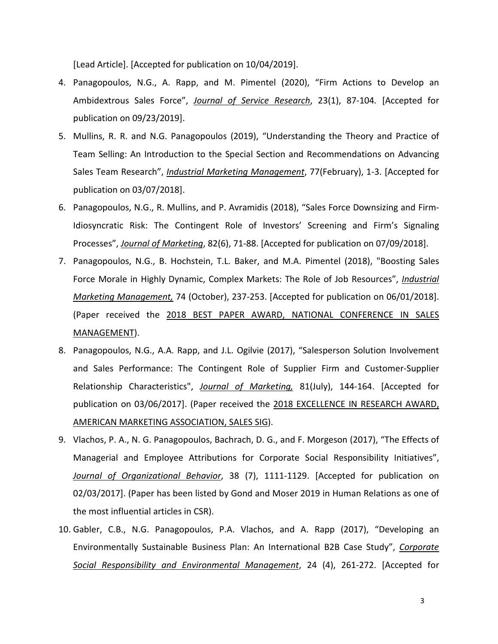[Lead Article]. [Accepted for publication on 10/04/2019].

- 4. Panagopoulos, N.G., A. Rapp, and M. Pimentel (2020), "Firm Actions to Develop an Ambidextrous Sales Force", *Journal of Service Research*, 23(1), 87-104*.* [Accepted for publication on 09/23/2019].
- 5. Mullins, R. R. and N.G. Panagopoulos (2019), "Understanding the Theory and Practice of Team Selling: An Introduction to the Special Section and Recommendations on Advancing Sales Team Research", *Industrial Marketing Management*, 77(February), 1-3. [Accepted for publication on 03/07/2018].
- 6. Panagopoulos, N.G., R. Mullins, and P. Avramidis (2018), "Sales Force Downsizing and Firm-Idiosyncratic Risk: The Contingent Role of Investors' Screening and Firm's Signaling Processes", *Journal of Marketing*, 82(6), 71-88. [Accepted for publication on 07/09/2018].
- 7. Panagopoulos, N.G., B. Hochstein, T.L. Baker, and M.A. Pimentel (2018), "Boosting Sales Force Morale in Highly Dynamic, Complex Markets: The Role of Job Resources", *Industrial Marketing Management,* 74 (October), 237-253. [Accepted for publication on 06/01/2018]. (Paper received the 2018 BEST PAPER AWARD, NATIONAL CONFERENCE IN SALES MANAGEMENT).
- 8. Panagopoulos, N.G., A.A. Rapp, and J.L. Ogilvie (2017), "Salesperson Solution Involvement and Sales Performance: The Contingent Role of Supplier Firm and Customer-Supplier Relationship Characteristics", *Journal of Marketing,* 81(July), 144-164. [Accepted for publication on 03/06/2017]. (Paper received the 2018 EXCELLENCE IN RESEARCH AWARD, AMERICAN MARKETING ASSOCIATION, SALES SIG).
- 9. Vlachos, P. A., N. G. Panagopoulos, Bachrach, D. G., and F. Morgeson (2017), "The Effects of Managerial and Employee Attributions for Corporate Social Responsibility Initiatives", *Journal of Organizational Behavior*, 38 (7), 1111-1129. [Accepted for publication on 02/03/2017]. (Paper has been listed by Gond and Moser 2019 in Human Relations as one of the most influential articles in CSR).
- 10. Gabler, C.B., N.G. Panagopoulos, P.A. Vlachos, and A. Rapp (2017), "Developing an Environmentally Sustainable Business Plan: An International B2B Case Study", *Corporate Social Responsibility and Environmental Management*, 24 (4), 261-272. [Accepted for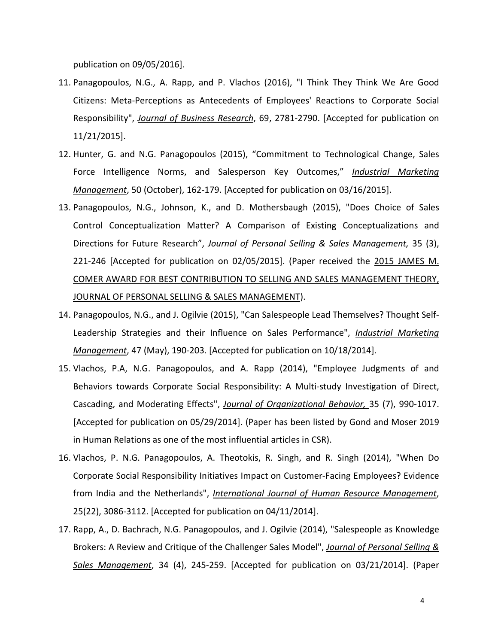publication on 09/05/2016].

- 11. Panagopoulos, N.G., A. Rapp, and P. Vlachos (2016), "I Think They Think We Are Good Citizens: Meta-Perceptions as Antecedents of Employees' Reactions to Corporate Social Responsibility", *Journal of Business Research*, 69, 2781-2790. [Accepted for publication on 11/21/2015].
- 12. Hunter, G. and N.G. Panagopoulos (2015), "Commitment to Technological Change, Sales Force Intelligence Norms, and Salesperson Key Outcomes," *Industrial Marketing Management*, 50 (October), 162-179. [Accepted for publication on 03/16/2015].
- 13. Panagopoulos, N.G., Johnson, K., and D. Mothersbaugh (2015), "Does Choice of Sales Control Conceptualization Matter? A Comparison of Existing Conceptualizations and Directions for Future Research", *Journal of Personal Selling & Sales Management,* 35 (3), 221-246 [Accepted for publication on 02/05/2015]. (Paper received the 2015 JAMES M. COMER AWARD FOR BEST CONTRIBUTION TO SELLING AND SALES MANAGEMENT THEORY, JOURNAL OF PERSONAL SELLING & SALES MANAGEMENT).
- 14. Panagopoulos, N.G., and J. Ogilvie (2015), "Can Salespeople Lead Themselves? Thought Self-Leadership Strategies and their Influence on Sales Performance", *Industrial Marketing Management*, 47 (May), 190-203. [Accepted for publication on 10/18/2014].
- 15. Vlachos, P.A, N.G. Panagopoulos, and A. Rapp (2014), "Employee Judgments of and Behaviors towards Corporate Social Responsibility: A Multi-study Investigation of Direct, Cascading, and Moderating Effects", *Journal of Organizational Behavior,* 35 (7), 990-1017. [Accepted for publication on 05/29/2014]. (Paper has been listed by Gond and Moser 2019 in Human Relations as one of the most influential articles in CSR).
- 16. Vlachos, P. N.G. Panagopoulos, A. Theotokis, R. Singh, and R. Singh (2014), "When Do Corporate Social Responsibility Initiatives Impact on Customer-Facing Employees? Evidence from India and the Netherlands", *International Journal of Human Resource Management*, 25(22), 3086-3112. [Accepted for publication on 04/11/2014].
- 17. Rapp, A., D. Bachrach, N.G. Panagopoulos, and J. Ogilvie (2014), "Salespeople as Knowledge Brokers: A Review and Critique of the Challenger Sales Model", *Journal of Personal Selling & Sales Management*, 34 (4), 245-259. [Accepted for publication on 03/21/2014]. (Paper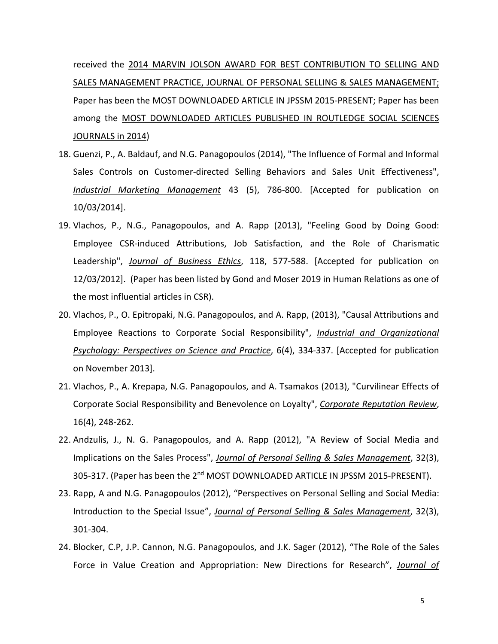received the 2014 MARVIN JOLSON AWARD FOR BEST CONTRIBUTION TO SELLING AND SALES MANAGEMENT PRACTICE, JOURNAL OF PERSONAL SELLING & SALES MANAGEMENT; Paper has been the MOST DOWNLOADED ARTICLE IN JPSSM 2015-PRESENT; Paper has been among the MOST DOWNLOADED ARTICLES PUBLISHED IN ROUTLEDGE SOCIAL SCIENCES JOURNALS in 2014)

- 18. Guenzi, P., A. Baldauf, and N.G. Panagopoulos (2014), "The Influence of Formal and Informal Sales Controls on Customer-directed Selling Behaviors and Sales Unit Effectiveness", *Industrial Marketing Management* 43 (5), 786-800. [Accepted for publication on 10/03/2014].
- 19. Vlachos, P., N.G., Panagopoulos, and A. Rapp (2013), "Feeling Good by Doing Good: Employee CSR-induced Attributions, Job Satisfaction, and the Role of Charismatic Leadership", *Journal of Business Ethics*, 118, 577-588. [Accepted for publication on 12/03/2012]. (Paper has been listed by Gond and Moser 2019 in Human Relations as one of the most influential articles in CSR).
- 20. Vlachos, P., O. Epitropaki, N.G. Panagopoulos, and A. Rapp, (2013), "Causal Attributions and Employee Reactions to Corporate Social Responsibility", *Industrial and Organizational Psychology: Perspectives on Science and Practice*, 6(4), 334-337. [Accepted for publication on November 2013].
- 21. Vlachos, P., A. Krepapa, N.G. Panagopoulos, and A. Tsamakos (2013), "Curvilinear Effects of Corporate Social Responsibility and Benevolence on Loyalty", *Corporate Reputation Review*, 16(4), 248-262.
- 22. Andzulis, J., N. G. Panagopoulos, and A. Rapp (2012), "A Review of Social Media and Implications on the Sales Process", *Journal of Personal Selling & Sales Management*, 32(3), 305-317. (Paper has been the 2<sup>nd</sup> MOST DOWNLOADED ARTICLE IN JPSSM 2015-PRESENT).
- 23. Rapp, A and N.G. Panagopoulos (2012), "Perspectives on Personal Selling and Social Media: Introduction to the Special Issue", *Journal of Personal Selling & Sales Management*, 32(3), 301-304.
- 24. Blocker, C.P, J.P. Cannon, N.G. Panagopoulos, and J.K. Sager (2012), "The Role of the Sales Force in Value Creation and Appropriation: New Directions for Research", *Journal of*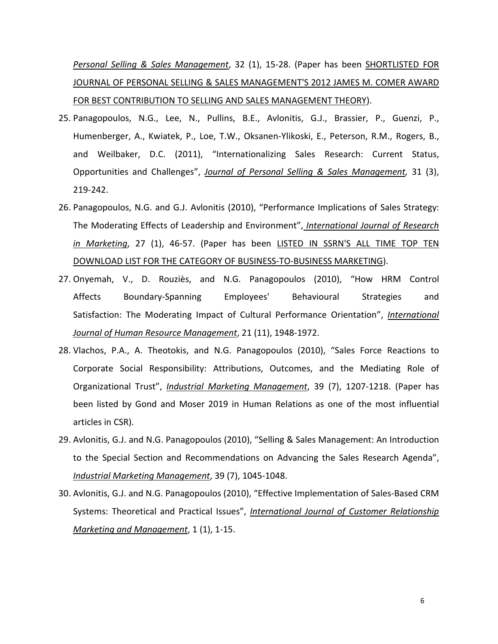*Personal Selling & Sales Management*, 32 (1), 15-28. (Paper has been SHORTLISTED FOR JOURNAL OF PERSONAL SELLING & SALES MANAGEMENT'S 2012 JAMES M. COMER AWARD FOR BEST CONTRIBUTION TO SELLING AND SALES MANAGEMENT THEORY).

- 25. Panagopoulos, N.G., Lee, N., Pullins, B.E., Avlonitis, G.J., Brassier, P., Guenzi, P., Humenberger, A., Kwiatek, P., Loe, T.W., Oksanen-Ylikoski, E., Peterson, R.M., Rogers, B., and Weilbaker, D.C. (2011), "Internationalizing Sales Research: Current Status, Opportunities and Challenges", *Journal of Personal Selling & Sales Management,* 31 (3), 219-242.
- 26. Panagopoulos, N.G. and G.J. Avlonitis (2010), "Performance Implications of Sales Strategy: The Moderating Effects of Leadership and Environment", *International Journal of Research in Marketing*, 27 (1), 46-57. (Paper has been LISTED IN SSRN'S ALL TIME TOP TEN DOWNLOAD LIST FOR THE CATEGORY OF BUSINESS-TO-BUSINESS MARKETING).
- 27. Onyemah, V., D. Rouziès, and N.G. Panagopoulos (2010), "How HRM Control Affects Boundary-Spanning Employees' Behavioural Strategies and Satisfaction: The Moderating Impact of Cultural Performance Orientation", *International Journal of Human Resource Management*, 21 (11), 1948-1972.
- 28. Vlachos, P.A., A. Theotokis, and N.G. Panagopoulos (2010), "Sales Force Reactions to Corporate Social Responsibility: Attributions, Outcomes, and the Mediating Role of Organizational Trust", *Industrial Marketing Management*, 39 (7), 1207-1218. (Paper has been listed by Gond and Moser 2019 in Human Relations as one of the most influential articles in CSR).
- 29. Avlonitis, G.J. and N.G. Panagopoulos (2010), "Selling & Sales Management: An Introduction to the Special Section and Recommendations on Advancing the Sales Research Agenda", *Industrial Marketing Management*, 39 (7), 1045-1048.
- 30. Avlonitis, G.J. and N.G. Panagopoulos (2010), "Effective Implementation of Sales-Based CRM Systems: Theoretical and Practical Issues", *International Journal of Customer Relationship Marketing and Management*, 1 (1), 1-15.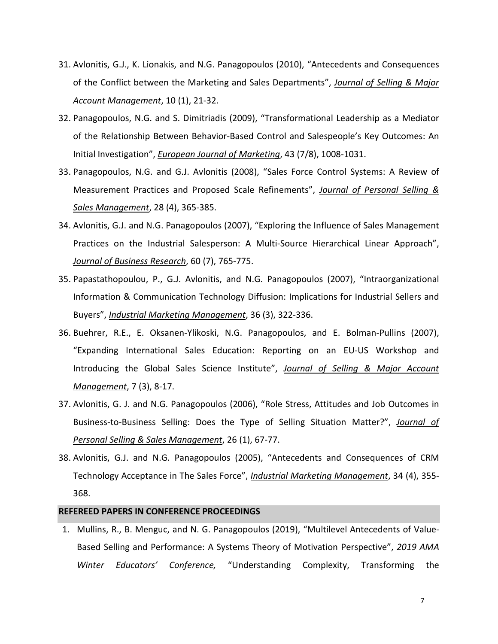- 31. Avlonitis, G.J., K. Lionakis, and N.G. Panagopoulos (2010), "Antecedents and Consequences of the Conflict between the Marketing and Sales Departments", *Journal of Selling & Major Account Management*, 10 (1), 21-32.
- 32. Panagopoulos, N.G. and S. Dimitriadis (2009), "Transformational Leadership as a Mediator of the Relationship Between Behavior-Based Control and Salespeople's Key Outcomes: An Initial Investigation", *European Journal of Marketing*, 43 (7/8), 1008-1031.
- 33. Panagopoulos, N.G. and G.J. Avlonitis (2008), "Sales Force Control Systems: A Review of Measurement Practices and Proposed Scale Refinements", *Journal of Personal Selling & Sales Management*, 28 (4), 365-385.
- 34. Avlonitis, G.J. and N.G. Panagopoulos (2007), "Exploring the Influence of Sales Management Practices on the Industrial Salesperson: A Multi-Source Hierarchical Linear Approach", *Journal of Business Research*, 60 (7), 765-775.
- 35. Papastathopoulou, P., G.J. Avlonitis, and N.G. Panagopoulos (2007), "Intraorganizational Information & Communication Technology Diffusion: Implications for Industrial Sellers and Buyers", *Industrial Marketing Management*, 36 (3), 322-336.
- 36. Buehrer, R.E., E. Oksanen-Ylikoski, N.G. Panagopoulos, and E. Bolman-Pullins (2007), "Expanding International Sales Education: Reporting on an EU-US Workshop and Introducing the Global Sales Science Institute", *Journal of Selling & Major Account Management*, 7 (3), 8-17.
- 37. Avlonitis, G. J. and N.G. Panagopoulos (2006), "Role Stress, Attitudes and Job Outcomes in Business-to-Business Selling: Does the Type of Selling Situation Matter?", *Journal of Personal Selling & Sales Management*, 26 (1), 67-77.
- 38. Avlonitis, G.J. and N.G. Panagopoulos (2005), "Antecedents and Consequences of CRM Technology Acceptance in The Sales Force", *Industrial Marketing Management*, 34 (4), 355- 368.

#### **REFEREED PAPERS IN CONFERENCE PROCEEDINGS**

1. Mullins, R., B. Menguc, and N. G. Panagopoulos (2019), "Multilevel Antecedents of Value-Based Selling and Performance: A Systems Theory of Motivation Perspective", *2019 AMA Winter Educators' Conference,* "Understanding Complexity, Transforming the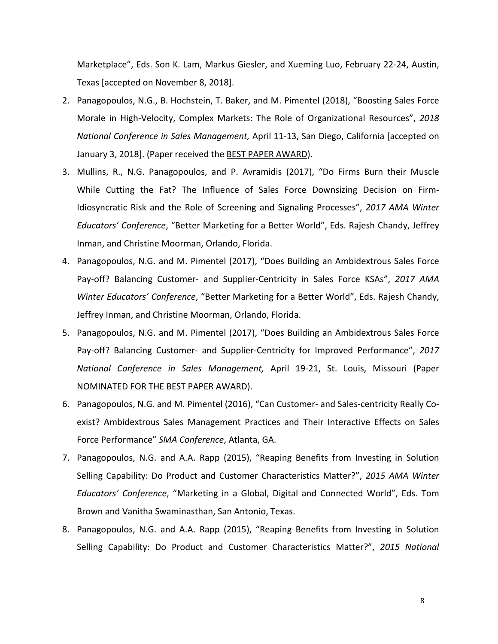Marketplace", Eds. Son K. Lam, Markus Giesler, and Xueming Luo, February 22-24, Austin, Texas [accepted on November 8, 2018].

- 2. Panagopoulos, N.G., B. Hochstein, T. Baker, and M. Pimentel (2018), "Boosting Sales Force Morale in High-Velocity, Complex Markets: The Role of Organizational Resources", *2018 National Conference in Sales Management,* April 11-13, San Diego, California [accepted on January 3, 2018]. (Paper received the BEST PAPER AWARD).
- 3. Mullins, R., N.G. Panagopoulos, and P. Avramidis (2017), "Do Firms Burn their Muscle While Cutting the Fat? The Influence of Sales Force Downsizing Decision on Firm-Idiosyncratic Risk and the Role of Screening and Signaling Processes", *2017 AMA Winter Educators' Conference*, "Better Marketing for a Better World", Eds. Rajesh Chandy, Jeffrey Inman, and Christine Moorman, Orlando, Florida.
- 4. Panagopoulos, N.G. and M. Pimentel (2017), "Does Building an Ambidextrous Sales Force Pay-off? Balancing Customer- and Supplier-Centricity in Sales Force KSAs", *2017 AMA Winter Educators' Conference*, "Better Marketing for a Better World", Eds. Rajesh Chandy, Jeffrey Inman, and Christine Moorman, Orlando, Florida.
- 5. Panagopoulos, N.G. and M. Pimentel (2017), "Does Building an Ambidextrous Sales Force Pay-off? Balancing Customer- and Supplier-Centricity for Improved Performance", *2017 National Conference in Sales Management,* April 19-21, St. Louis, Missouri (Paper NOMINATED FOR THE BEST PAPER AWARD).
- 6. Panagopoulos, N.G. and M. Pimentel (2016), "Can Customer- and Sales-centricity Really Coexist? Ambidextrous Sales Management Practices and Their Interactive Effects on Sales Force Performance" *SMA Conference*, Atlanta, GA.
- 7. Panagopoulos, N.G. and A.A. Rapp (2015), "Reaping Benefits from Investing in Solution Selling Capability: Do Product and Customer Characteristics Matter?", *2015 AMA Winter Educators' Conference*, "Marketing in a Global, Digital and Connected World", Eds. Tom Brown and Vanitha Swaminasthan, San Antonio, Texas.
- 8. Panagopoulos, N.G. and A.A. Rapp (2015), "Reaping Benefits from Investing in Solution Selling Capability: Do Product and Customer Characteristics Matter?", *2015 National*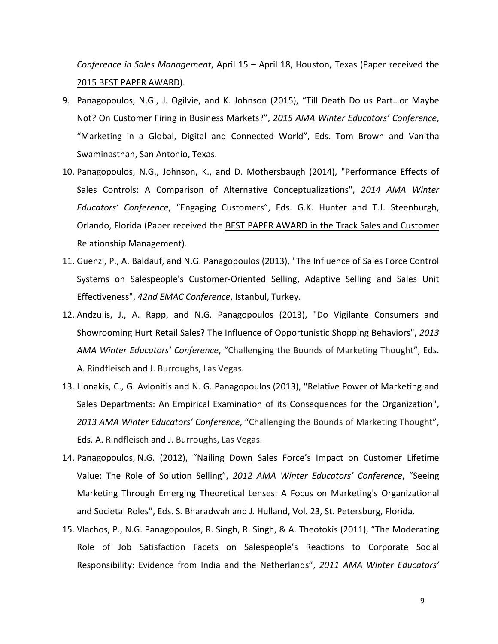*Conference in Sales Management*, April 15 – April 18, Houston, Texas (Paper received the 2015 BEST PAPER AWARD).

- 9. Panagopoulos, N.G., J. Ogilvie, and K. Johnson (2015), "Till Death Do us Part…or Maybe Not? On Customer Firing in Business Markets?", *2015 AMA Winter Educators' Conference*, "Marketing in a Global, Digital and Connected World", Eds. Tom Brown and Vanitha Swaminasthan, San Antonio, Texas.
- 10. Panagopoulos, N.G., Johnson, K., and D. Mothersbaugh (2014), "Performance Effects of Sales Controls: A Comparison of Alternative Conceptualizations", *2014 AMA Winter Educators' Conference*, "Engaging Customers", Eds. G.K. Hunter and T.J. Steenburgh, Orlando, Florida (Paper received the BEST PAPER AWARD in the Track Sales and Customer Relationship Management).
- 11. Guenzi, P., A. Baldauf, and N.G. Panagopoulos (2013), "The Influence of Sales Force Control Systems on Salespeople's Customer-Oriented Selling, Adaptive Selling and Sales Unit Effectiveness", *42nd EMAC Conference*, Istanbul, Turkey.
- 12. Andzulis, J., A. Rapp, and N.G. Panagopoulos (2013), "Do Vigilante Consumers and Showrooming Hurt Retail Sales? The Influence of Opportunistic Shopping Behaviors", *2013 AMA Winter Educators' Conference*, "Challenging the Bounds of Marketing Thought", Eds. A. Rindfleisch and J. Burroughs, Las Vegas.
- 13. Lionakis, C., G. Avlonitis and N. G. Panagopoulos (2013), "Relative Power of Marketing and Sales Departments: An Empirical Examination of its Consequences for the Organization", *2013 AMA Winter Educators' Conference*, "Challenging the Bounds of Marketing Thought", Eds. A. Rindfleisch and J. Burroughs, Las Vegas.
- 14. Panagopoulos, N.G. (2012), "Nailing Down Sales Force's Impact on Customer Lifetime Value: The Role of Solution Selling", *2012 AMA Winter Educators' Conference*, "Seeing Marketing Through Emerging Theoretical Lenses: A Focus on Marketing's Organizational and Societal Roles", Eds. S. Bharadwah and J. Hulland, Vol. 23, St. Petersburg, Florida.
- 15. Vlachos, P., N.G. Panagopoulos, R. Singh, R. Singh, & A. Theotokis (2011), "The Moderating Role of Job Satisfaction Facets on Salespeople's Reactions to Corporate Social Responsibility: Evidence from India and the Netherlands", *2011 AMA Winter Educators'*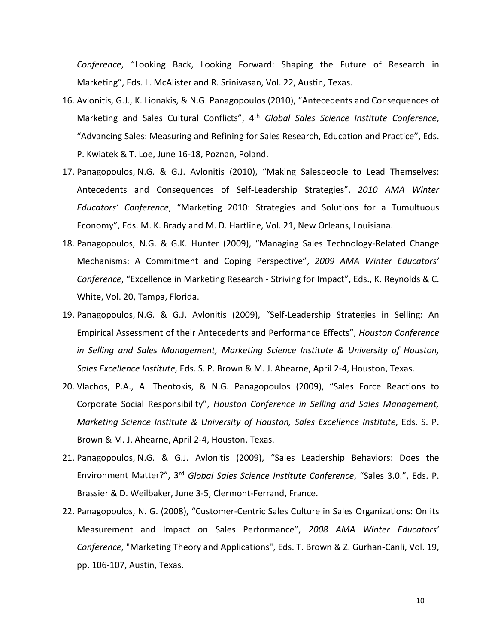*Conference*, "Looking Back, Looking Forward: Shaping the Future of Research in Marketing", Eds. L. McAlister and R. Srinivasan, Vol. 22, Austin, Texas.

- 16. Avlonitis, G.J., K. Lionakis, & N.G. Panagopoulos (2010), "Antecedents and Consequences of Marketing and Sales Cultural Conflicts", 4th *Global Sales Science Institute Conference*, "Advancing Sales: Measuring and Refining for Sales Research, Education and Practice", Eds. P. Kwiatek & T. Loe, June 16-18, Poznan, Poland.
- 17. Panagopoulos, N.G. & G.J. Avlonitis (2010), "Making Salespeople to Lead Themselves: Antecedents and Consequences of Self-Leadership Strategies", *2010 AMA Winter Educators' Conference*, "Marketing 2010: Strategies and Solutions for a Tumultuous Economy", Eds. M. K. Brady and M. D. Hartline, Vol. 21, New Orleans, Louisiana.
- 18. Panagopoulos, N.G. & G.K. Hunter (2009), "Managing Sales Technology-Related Change Mechanisms: A Commitment and Coping Perspective", *2009 AMA Winter Educators' Conference*, "Excellence in Marketing Research - Striving for Impact", Eds., K. Reynolds & C. White, Vol. 20, Tampa, Florida.
- 19. Panagopoulos, N.G. & G.J. Avlonitis (2009), "Self-Leadership Strategies in Selling: An Empirical Assessment of their Antecedents and Performance Effects", *Houston Conference in Selling and Sales Management, Marketing Science Institute & University of Houston, Sales Excellence Institute*, Eds. S. P. Brown & M. J. Ahearne, April 2-4, Houston, Texas.
- 20. Vlachos, P.A., A. Theotokis, & N.G. Panagopoulos (2009), "Sales Force Reactions to Corporate Social Responsibility", *Houston Conference in Selling and Sales Management, Marketing Science Institute & University of Houston, Sales Excellence Institute*, Eds. S. P. Brown & M. J. Ahearne, April 2-4, Houston, Texas.
- 21. Panagopoulos, N.G. & G.J. Avlonitis (2009), "Sales Leadership Behaviors: Does the Environment Matter?", 3rd *Global Sales Science Institute Conference*, "Sales 3.0.", Eds. P. Brassier & D. Weilbaker, June 3-5, Clermont-Ferrand, France.
- 22. Panagopoulos, N. G. (2008), "Customer-Centric Sales Culture in Sales Organizations: On its Measurement and Impact on Sales Performance", *2008 AMA Winter Educators' Conference*, "Marketing Theory and Applications", Eds. T. Brown & Z. Gurhan-Canli, Vol. 19, pp. 106-107, Austin, Texas.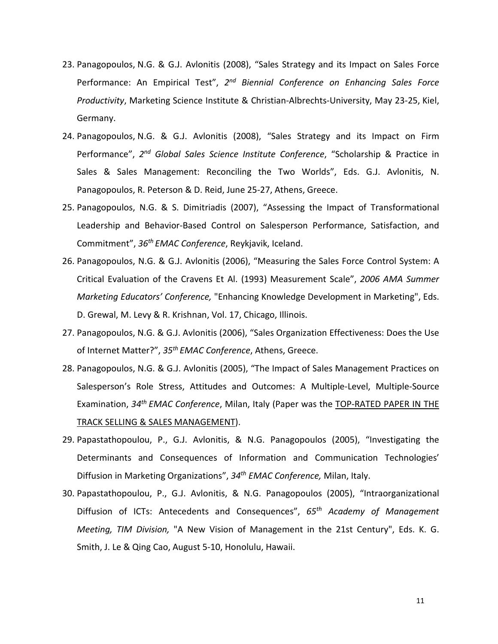- 23. Panagopoulos, N.G. & G.J. Avlonitis (2008), "Sales Strategy and its Impact on Sales Force Performance: An Empirical Test", *2nd Biennial Conference on Enhancing Sales Force Productivity*, Marketing Science Institute & Christian-Albrechts-University, May 23-25, Kiel, Germany.
- 24. Panagopoulos, N.G. & G.J. Avlonitis (2008), "Sales Strategy and its Impact on Firm Performance", *2nd Global Sales Science Institute Conference*, "Scholarship & Practice in Sales & Sales Management: Reconciling the Two Worlds", Eds. G.J. Avlonitis, N. Panagopoulos, R. Peterson & D. Reid, June 25-27, Athens, Greece.
- 25. Panagopoulos, N.G. & S. Dimitriadis (2007), "Assessing the Impact of Transformational Leadership and Behavior-Based Control on Salesperson Performance, Satisfaction, and Commitment", *36th EMAC Conference*, Reykjavik, Iceland.
- 26. Panagopoulos, N.G. & G.J. Avlonitis (2006), "Measuring the Sales Force Control System: A Critical Evaluation of the Cravens Et Al. (1993) Measurement Scale", *2006 AMA Summer Marketing Educators' Conference,* "Enhancing Knowledge Development in Marketing", Eds. D. Grewal, M. Levy & R. Krishnan, Vol. 17, Chicago, Illinois.
- 27. Panagopoulos, N.G. & G.J. Avlonitis (2006), "Sales Organization Effectiveness: Does the Use of Internet Matter?", *35th EMAC Conference*, Athens, Greece.
- 28. Panagopoulos, N.G. & G.J. Avlonitis (2005), "The Impact of Sales Management Practices on Salesperson's Role Stress, Attitudes and Outcomes: A Multiple-Level, Multiple-Source Examination, *34th EMAC Conference*, Milan, Italy (Paper was the TOP-RATED PAPER IN THE TRACK SELLING & SALES MANAGEMENT).
- 29. Papastathopoulou, P., G.J. Avlonitis, & N.G. Panagopoulos (2005), "Investigating the Determinants and Consequences of Information and Communication Technologies' Diffusion in Marketing Organizations", *34th EMAC Conference,* Milan, Italy.
- 30. Papastathopoulou, P., G.J. Avlonitis, & N.G. Panagopoulos (2005), "Intraorganizational Diffusion of ICTs: Antecedents and Consequences", *65th Academy of Management Meeting, TIM Division,* "A New Vision of Management in the 21st Century", Eds. K. G. Smith, J. Le & Qing Cao, August 5-10, Honolulu, Hawaii.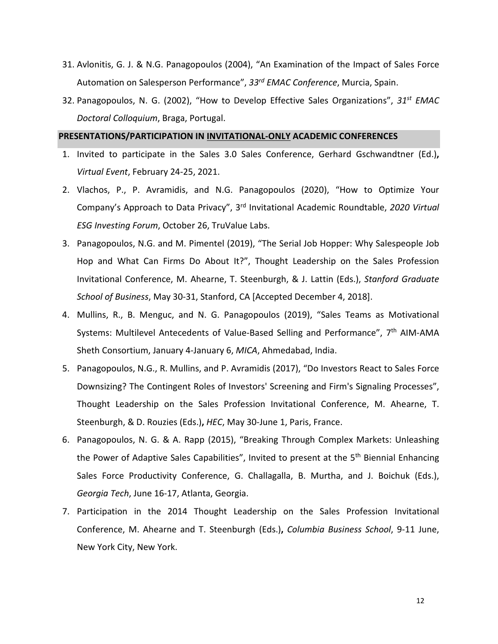- 31. Avlonitis, G. J. & N.G. Panagopoulos (2004), "An Examination of the Impact of Sales Force Automation on Salesperson Performance", *33rd EMAC Conference*, Murcia, Spain.
- 32. Panagopoulos, N. G. (2002), "How to Develop Effective Sales Organizations", *31st EMAC Doctoral Colloquium*, Braga, Portugal.

#### **PRESENTATIONS/PARTICIPATION IN INVITATIONAL-ONLY ACADEMIC CONFERENCES**

- 1. Invited to participate in the Sales 3.0 Sales Conference, Gerhard Gschwandtner (Ed.)**,**  *Virtual Event*, February 24-25, 2021.
- 2. Vlachos, P., P. Avramidis, and N.G. Panagopoulos (2020), "How to Optimize Your Company's Approach to Data Privacy", 3rd Invitational Academic Roundtable, *2020 Virtual ESG Investing Forum*, October 26, TruValue Labs.
- 3. Panagopoulos, N.G. and M. Pimentel (2019), "The Serial Job Hopper: Why Salespeople Job Hop and What Can Firms Do About It?", Thought Leadership on the Sales Profession Invitational Conference, M. Ahearne, T. Steenburgh, & J. Lattin (Eds.), *Stanford Graduate School of Business*, May 30-31, Stanford, CA [Accepted December 4, 2018].
- 4. Mullins, R., B. Menguc, and N. G. Panagopoulos (2019), "Sales Teams as Motivational Systems: Multilevel Antecedents of Value-Based Selling and Performance", 7th AIM-AMA Sheth Consortium, January 4-January 6, *MICA*, Ahmedabad, India.
- 5. Panagopoulos, N.G., R. Mullins, and P. Avramidis (2017), "Do Investors React to Sales Force Downsizing? The Contingent Roles of Investors' Screening and Firm's Signaling Processes", Thought Leadership on the Sales Profession Invitational Conference, M. Ahearne, T. Steenburgh, & D. Rouzies (Eds.)**,** *HEC*, May 30-June 1, Paris, France.
- 6. Panagopoulos, N. G. & A. Rapp (2015), "Breaking Through Complex Markets: Unleashing the Power of Adaptive Sales Capabilities", Invited to present at the 5<sup>th</sup> Biennial Enhancing Sales Force Productivity Conference, G. Challagalla, B. Murtha, and J. Boichuk (Eds.), *Georgia Tech*, June 16-17, Atlanta, Georgia.
- 7. Participation in the 2014 Thought Leadership on the Sales Profession Invitational Conference, M. Ahearne and T. Steenburgh (Eds.)**,** *Columbia Business School*, 9-11 June, New York City, New York.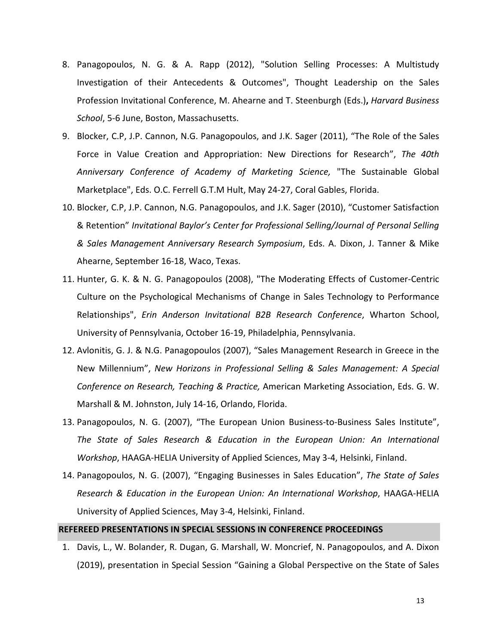- 8. Panagopoulos, N. G. & A. Rapp (2012), "Solution Selling Processes: A Multistudy Investigation of their Antecedents & Outcomes", Thought Leadership on the Sales Profession Invitational Conference, M. Ahearne and T. Steenburgh (Eds.)**,** *Harvard Business School*, 5-6 June, Boston, Massachusetts.
- 9. Blocker, C.P, J.P. Cannon, N.G. Panagopoulos, and J.K. Sager (2011), "The Role of the Sales Force in Value Creation and Appropriation: New Directions for Research", *The 40th Anniversary Conference of Academy of Marketing Science,* "The Sustainable Global Marketplace", Eds. O.C. Ferrell G.T.M Hult, May 24-27, Coral Gables, Florida.
- 10. Blocker, C.P, J.P. Cannon, N.G. Panagopoulos, and J.K. Sager (2010), "Customer Satisfaction & Retention" *Invitational Baylor's Center for Professional Selling/Journal of Personal Selling & Sales Management Anniversary Research Symposium*, Eds. A. Dixon, J. Tanner & Mike Ahearne, September 16-18, Waco, Texas.
- 11. Hunter, G. K. & N. G. Panagopoulos (2008), "The Moderating Effects of Customer-Centric Culture on the Psychological Mechanisms of Change in Sales Technology to Performance Relationships", *Erin Anderson Invitational B2B Research Conference*, Wharton School, University of Pennsylvania, October 16-19, Philadelphia, Pennsylvania.
- 12. Avlonitis, G. J. & N.G. Panagopoulos (2007), "Sales Management Research in Greece in the New Millennium", *New Horizons in Professional Selling & Sales Management: A Special Conference on Research, Teaching & Practice,* American Marketing Association, Eds. G. W. Marshall & M. Johnston, July 14-16, Orlando, Florida.
- 13. Panagopoulos, N. G. (2007), "The European Union Business-to-Business Sales Institute", *The State of Sales Research & Education in the European Union: An International Workshop*, HAAGA-HELIA University of Applied Sciences, May 3-4, Helsinki, Finland.
- 14. Panagopoulos, N. G. (2007), "Engaging Businesses in Sales Education", *The State of Sales Research & Education in the European Union: An International Workshop*, HAAGA-HELIA University of Applied Sciences, May 3-4, Helsinki, Finland.

#### **REFEREED PRESENTATIONS IN SPECIAL SESSIONS IN CONFERENCE PROCEEDINGS**

1. Davis, L., W. Bolander, R. Dugan, G. Marshall, W. Moncrief, N. Panagopoulos, and A. Dixon (2019), presentation in Special Session "Gaining a Global Perspective on the State of Sales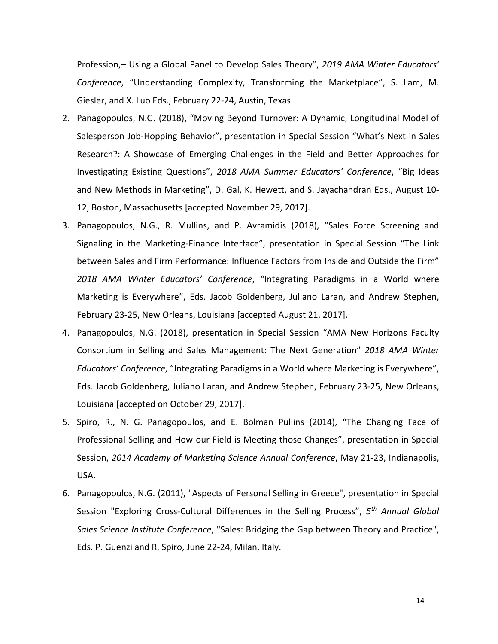Profession,– Using a Global Panel to Develop Sales Theory", *2019 AMA Winter Educators' Conference*, "Understanding Complexity, Transforming the Marketplace", S. Lam, M. Giesler, and X. Luo Eds., February 22-24, Austin, Texas.

- 2. Panagopoulos, N.G. (2018), "Moving Beyond Turnover: A Dynamic, Longitudinal Model of Salesperson Job-Hopping Behavior", presentation in Special Session "What's Next in Sales Research?: A Showcase of Emerging Challenges in the Field and Better Approaches for Investigating Existing Questions", *2018 AMA Summer Educators' Conference*, "Big Ideas and New Methods in Marketing", D. Gal, K. Hewett, and S. Jayachandran Eds., August 10- 12, Boston, Massachusetts [accepted November 29, 2017].
- 3. Panagopoulos, N.G., R. Mullins, and P. Avramidis (2018), "Sales Force Screening and Signaling in the Marketing-Finance Interface", presentation in Special Session "The Link between Sales and Firm Performance: Influence Factors from Inside and Outside the Firm" *2018 AMA Winter Educators' Conference*, "Integrating Paradigms in a World where Marketing is Everywhere", Eds. Jacob Goldenberg, Juliano Laran, and Andrew Stephen, February 23-25, New Orleans, Louisiana [accepted August 21, 2017].
- 4. Panagopoulos, N.G. (2018), presentation in Special Session "AMA New Horizons Faculty Consortium in Selling and Sales Management: The Next Generation" *2018 AMA Winter Educators' Conference*, "Integrating Paradigms in a World where Marketing is Everywhere", Eds. Jacob Goldenberg, Juliano Laran, and Andrew Stephen, February 23-25, New Orleans, Louisiana [accepted on October 29, 2017].
- 5. Spiro, R., N. G. Panagopoulos, and E. Bolman Pullins (2014), "The Changing Face of Professional Selling and How our Field is Meeting those Changes", presentation in Special Session, *2014 Academy of Marketing Science Annual Conference*, May 21-23, Indianapolis, USA.
- 6. Panagopoulos, N.G. (2011), "Aspects of Personal Selling in Greece", presentation in Special Session "Exploring Cross-Cultural Differences in the Selling Process", *5th Annual Global Sales Science Institute Conference*, "Sales: Bridging the Gap between Theory and Practice", Eds. P. Guenzi and R. Spiro, June 22-24, Milan, Italy.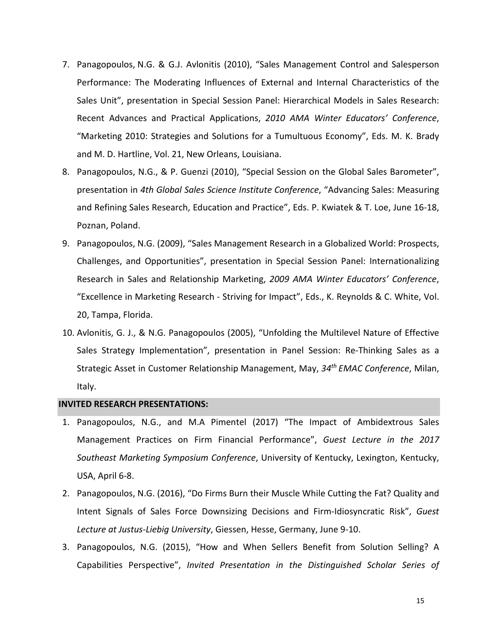- 7. Panagopoulos, N.G. & G.J. Avlonitis (2010), "Sales Management Control and Salesperson Performance: The Moderating Influences of External and Internal Characteristics of the Sales Unit", presentation in Special Session Panel: Hierarchical Models in Sales Research: Recent Advances and Practical Applications, *2010 AMA Winter Educators' Conference*, "Marketing 2010: Strategies and Solutions for a Tumultuous Economy", Eds. M. K. Brady and M. D. Hartline, Vol. 21, New Orleans, Louisiana.
- 8. Panagopoulos, N.G., & P. Guenzi (2010), "Special Session on the Global Sales Barometer", presentation in *4th Global Sales Science Institute Conference*, "Advancing Sales: Measuring and Refining Sales Research, Education and Practice", Eds. P. Kwiatek & T. Loe, June 16-18, Poznan, Poland.
- 9. Panagopoulos, N.G. (2009), "Sales Management Research in a Globalized World: Prospects, Challenges, and Opportunities", presentation in Special Session Panel: Internationalizing Research in Sales and Relationship Marketing, *2009 AMA Winter Educators' Conference*, "Excellence in Marketing Research - Striving for Impact", Eds., K. Reynolds & C. White, Vol. 20, Tampa, Florida.
- 10. Avlonitis, G. J., & N.G. Panagopoulos (2005), "Unfolding the Multilevel Nature of Effective Sales Strategy Implementation", presentation in Panel Session: Re-Thinking Sales as a Strategic Asset in Customer Relationship Management, May, *34th EMAC Conference*, Milan, Italy.

#### **INVITED RESEARCH PRESENTATIONS:**

- 1. Panagopoulos, N.G., and M.A Pimentel (2017) "The Impact of Ambidextrous Sales Management Practices on Firm Financial Performance", *Guest Lecture in the 2017 Southeast Marketing Symposium Conference*, University of Kentucky, Lexington, Kentucky, USA, April 6-8.
- 2. Panagopoulos, N.G. (2016), "Do Firms Burn their Muscle While Cutting the Fat? Quality and Intent Signals of Sales Force Downsizing Decisions and Firm-Idiosyncratic Risk", *Guest Lecture at Justus-Liebig University*, Giessen, Hesse, Germany, June 9-10.
- 3. Panagopoulos, N.G. (2015), "How and When Sellers Benefit from Solution Selling? A Capabilities Perspective", *Invited Presentation in the Distinguished Scholar Series of*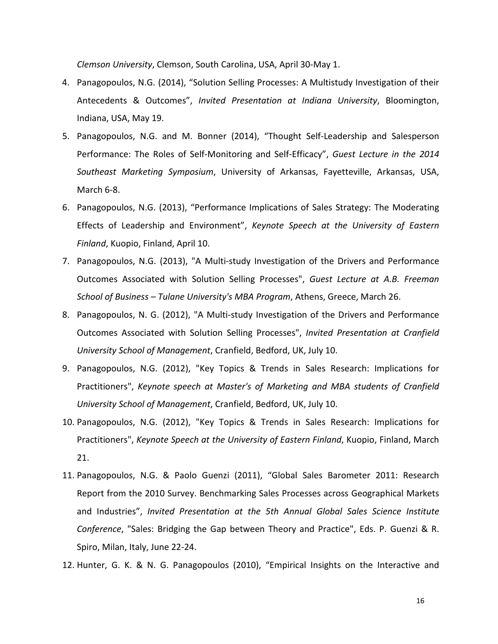*Clemson University*, Clemson, South Carolina, USA, April 30-May 1.

- 4. Panagopoulos, N.G. (2014), "Solution Selling Processes: A Multistudy Investigation of their Antecedents & Outcomes", *Invited Presentation at Indiana University*, Bloomington, Indiana, USA, May 19.
- 5. Panagopoulos, N.G. and M. Bonner (2014), "Thought Self-Leadership and Salesperson Performance: The Roles of Self-Monitoring and Self-Efficacy", *Guest Lecture in the 2014 Southeast Marketing Symposium*, University of Arkansas, Fayetteville, Arkansas, USA, March 6-8.
- 6. Panagopoulos, N.G. (2013), "Performance Implications of Sales Strategy: The Moderating Effects of Leadership and Environment", *Keynote Speech at the University of Eastern Finland*, Kuopio, Finland, April 10.
- 7. Panagopoulos, N.G. (2013), "A Multi-study Investigation of the Drivers and Performance Outcomes Associated with Solution Selling Processes", *Guest Lecture at A.B. Freeman School of Business – Tulane University's MBA Program*, Athens, Greece, March 26.
- 8. Panagopoulos, N. G. (2012), "A Multi-study Investigation of the Drivers and Performance Outcomes Associated with Solution Selling Processes", *Invited Presentation at Cranfield University School of Management*, Cranfield, Bedford, UK, July 10.
- 9. Panagopoulos, N.G. (2012), "Key Topics & Trends in Sales Research: Implications for Practitioners", *Keynote speech at Master's of Marketing and MBA students of Cranfield University School of Management*, Cranfield, Bedford, UK, July 10.
- 10. Panagopoulos, N.G. (2012), "Key Topics & Trends in Sales Research: Implications for Practitioners", *Keynote Speech at the University of Eastern Finland*, Kuopio, Finland, March 21.
- 11. Panagopoulos, N.G. & Paolo Guenzi (2011), "Global Sales Barometer 2011: Research Report from the 2010 Survey. Benchmarking Sales Processes across Geographical Markets and Industries", *Invited Presentation at the 5th Annual Global Sales Science Institute Conference*, "Sales: Bridging the Gap between Theory and Practice", Eds. P. Guenzi & R. Spiro, Milan, Italy, June 22-24.
- 12. Hunter, G. K. & N. G. Panagopoulos (2010), "Empirical Insights on the Interactive and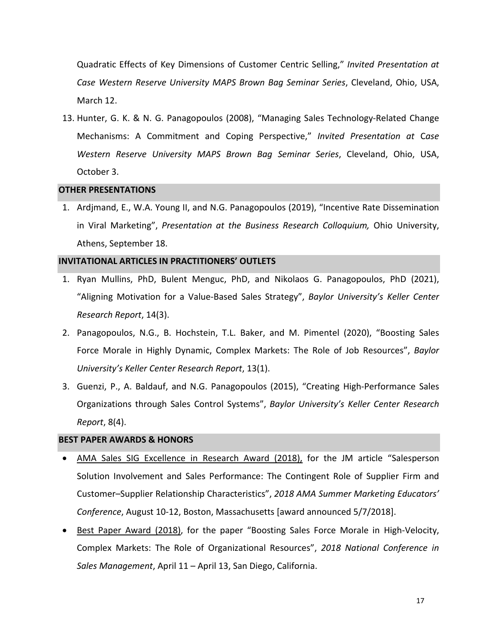Quadratic Effects of Key Dimensions of Customer Centric Selling," *Invited Presentation at Case Western Reserve University MAPS Brown Bag Seminar Series*, Cleveland, Ohio, USA, March 12.

13. Hunter, G. K. & N. G. Panagopoulos (2008), "Managing Sales Technology-Related Change Mechanisms: A Commitment and Coping Perspective," *Invited Presentation at* C*ase Western Reserve University MAPS Brown Bag Seminar Series*, Cleveland, Ohio, USA, October 3.

#### **OTHER PRESENTATIONS**

1. Ardjmand, E., W.A. Young II, and N.G. Panagopoulos (2019), "Incentive Rate Dissemination in Viral Marketing", *Presentation at the Business Research Colloquium,* Ohio University, Athens, September 18.

#### **INVITATIONAL ARTICLES IN PRACTITIONERS' OUTLETS**

- 1. Ryan Mullins, PhD, Bulent Menguc, PhD, and Nikolaos G. Panagopoulos, PhD (2021), "Aligning Motivation for a Value-Based Sales Strategy", *Baylor University's Keller Center Research Report*, 14(3).
- 2. Panagopoulos, N.G., B. Hochstein, T.L. Baker, and M. Pimentel (2020), "Boosting Sales Force Morale in Highly Dynamic, Complex Markets: The Role of Job Resources", *Baylor University's Keller Center Research Report*, 13(1).
- 3. Guenzi, P., A. Baldauf, and N.G. Panagopoulos (2015), "Creating High-Performance Sales Organizations through Sales Control Systems", *Baylor University's Keller Center Research Report*, 8(4).

#### **BEST PAPER AWARDS & HONORS**

- AMA Sales SIG Excellence in Research Award (2018), for the JM article "Salesperson Solution Involvement and Sales Performance: The Contingent Role of Supplier Firm and Customer–Supplier Relationship Characteristics", *2018 AMA Summer Marketing Educators' Conference*, August 10-12, Boston, Massachusetts [award announced 5/7/2018].
- Best Paper Award (2018), for the paper "Boosting Sales Force Morale in High-Velocity, Complex Markets: The Role of Organizational Resources", *2018 National Conference in Sales Management*, April 11 – April 13, San Diego, California.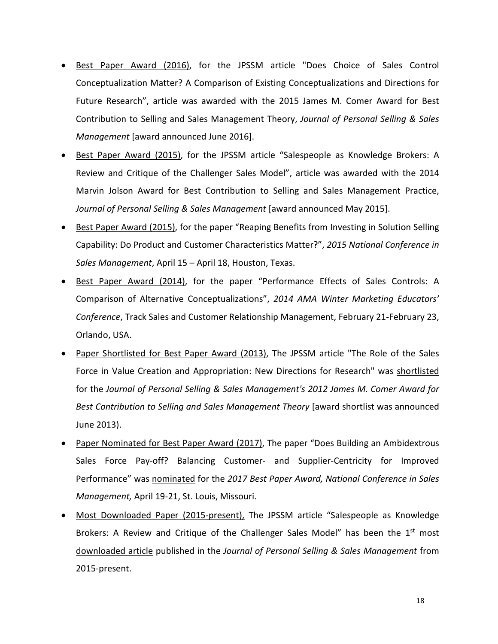- Best Paper Award (2016), for the JPSSM article "Does Choice of Sales Control Conceptualization Matter? A Comparison of Existing Conceptualizations and Directions for Future Research", article was awarded with the 2015 James M. Comer Award for Best Contribution to Selling and Sales Management Theory, *Journal of Personal Selling & Sales Management* [award announced June 2016].
- Best Paper Award (2015), for the JPSSM article "Salespeople as Knowledge Brokers: A Review and Critique of the Challenger Sales Model", article was awarded with the 2014 Marvin Jolson Award for Best Contribution to Selling and Sales Management Practice, *Journal of Personal Selling & Sales Management* [award announced May 2015].
- Best Paper Award (2015), for the paper "Reaping Benefits from Investing in Solution Selling Capability: Do Product and Customer Characteristics Matter?", *2015 National Conference in Sales Management*, April 15 – April 18, Houston, Texas.
- Best Paper Award (2014), for the paper "Performance Effects of Sales Controls: A Comparison of Alternative Conceptualizations", *2014 AMA Winter Marketing Educators' Conference*, Track Sales and Customer Relationship Management, February 21-February 23, Orlando, USA.
- Paper Shortlisted for Best Paper Award (2013), The JPSSM article "The Role of the Sales Force in Value Creation and Appropriation: New Directions for Research" was shortlisted for the *Journal of Personal Selling & Sales Management's 2012 James M. Comer Award for Best Contribution to Selling and Sales Management Theory* [award shortlist was announced June 2013).
- Paper Nominated for Best Paper Award (2017), The paper "Does Building an Ambidextrous Sales Force Pay-off? Balancing Customer- and Supplier-Centricity for Improved Performance" was nominated for the *2017 Best Paper Award, National Conference in Sales Management,* April 19-21, St. Louis, Missouri.
- Most Downloaded Paper (2015-present), The JPSSM article "Salespeople as Knowledge Brokers: A Review and Critique of the Challenger Sales Model" has been the  $1<sup>st</sup>$  most downloaded article published in the *Journal of Personal Selling & Sales Management* from 2015-present.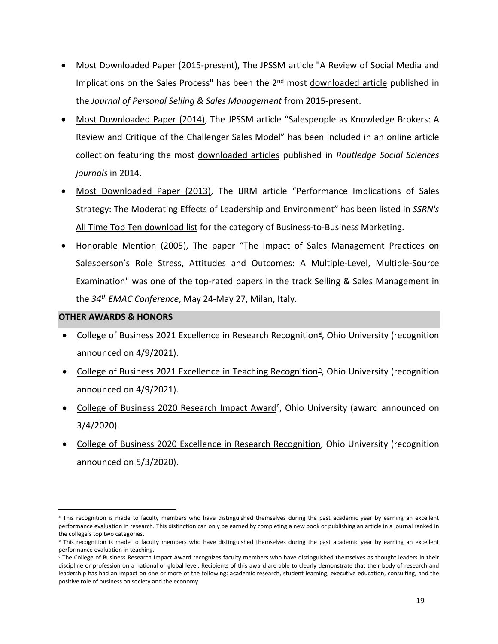- Most Downloaded Paper (2015-present), The JPSSM article "A Review of Social Media and Implications on the Sales Process" has been the  $2<sup>nd</sup>$  most downloaded article published in the *Journal of Personal Selling & Sales Management* from 2015-present.
- Most Downloaded Paper (2014), The JPSSM article "Salespeople as Knowledge Brokers: A Review and Critique of the Challenger Sales Model" has been included in an online article collection featuring the most downloaded articles published in *Routledge Social Sciences journals* in 2014.
- Most Downloaded Paper (2013), The IJRM article "Performance Implications of Sales Strategy: The Moderating Effects of Leadership and Environment" has been listed in *SSRN's*  All Time Top Ten download list for the category of Business-to-Business Marketing.
- Honorable Mention (2005), The paper "The Impact of Sales Management Practices on Salesperson's Role Stress, Attitudes and Outcomes: A Multiple-Level, Multiple-Source Examination" was one of the top-rated papers in the track Selling & Sales Management in the *34th EMAC Conference*, May 24-May 27, Milan, Italy.

# **OTHER AWARDS & HONORS**

- College of Business 2021 Excellence in Rese[a](#page-18-0)rch Recognition<sup>a</sup>, Ohio University (recognition announced on 4/9/2021).
- College of Business 2021 Excellence in Teaching Recognition $\frac{b}{r}$ , Ohio University (recognition announced on 4/9/2021).
- College of Business 2020 Resear[c](#page-18-2)h Impact Award<sup>c</sup>, Ohio University (award announced on 3/4/2020).
- College of Business 2020 Excellence in Research Recognition, Ohio University (recognition announced on 5/3/2020).

<span id="page-18-0"></span>a This recognition is made to faculty members who have distinguished themselves during the past academic year by earning an excellent performance evaluation in research. This distinction can only be earned by completing a new book or publishing an article in a journal ranked in the college's top two categories.

<span id="page-18-1"></span>**b** This recognition is made to faculty members who have distinguished themselves during the past academic year by earning an excellent performance evaluation in teaching.<br><sup>c</sup> The College of Business Research Impact Award recognizes faculty members who have distinguished themselves as thought leaders in their

<span id="page-18-2"></span>discipline or profession on a national or global level. Recipients of this award are able to clearly demonstrate that their body of research and leadership has had an impact on one or more of the following: academic research, student learning, executive education, consulting, and the positive role of business on society and the economy.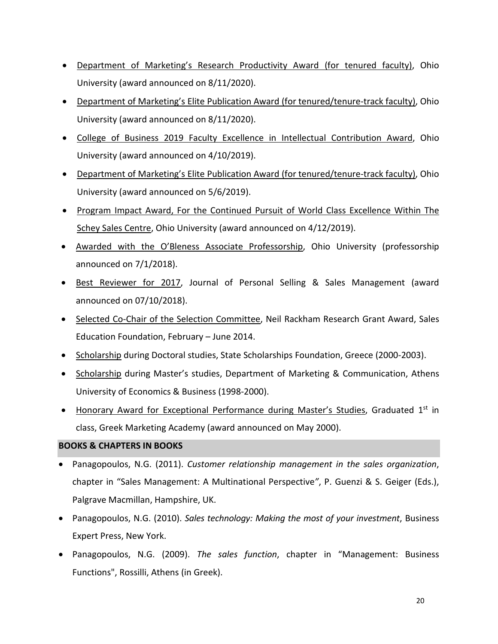- Department of Marketing's Research Productivity Award (for tenured faculty), Ohio University (award announced on 8/11/2020).
- Department of Marketing's Elite Publication Award (for tenured/tenure-track faculty), Ohio University (award announced on 8/11/2020).
- College of Business 2019 Faculty Excellence in Intellectual Contribution Award, Ohio University (award announced on 4/10/2019).
- Department of Marketing's Elite Publication Award (for tenured/tenure-track faculty), Ohio University (award announced on 5/6/2019).
- Program Impact Award, For the Continued Pursuit of World Class Excellence Within The Schey Sales Centre, Ohio University (award announced on 4/12/2019).
- Awarded with the O'Bleness Associate Professorship, Ohio University (professorship announced on 7/1/2018).
- Best Reviewer for 2017, Journal of Personal Selling & Sales Management (award announced on 07/10/2018).
- Selected Co-Chair of the Selection Committee, Neil Rackham Research Grant Award, Sales Education Foundation, February – June 2014.
- Scholarship during Doctoral studies, State Scholarships Foundation, Greece (2000-2003).
- Scholarship during Master's studies, Department of Marketing & Communication, Athens University of Economics & Business (1998-2000).
- Honorary Award for Exceptional Performance during Master's Studies, Graduated  $1<sup>st</sup>$  in class, Greek Marketing Academy (award announced on May 2000).

# **BOOKS & CHAPTERS IN BOOKS**

- Panagopoulos, N.G. (2011). *Customer relationship management in the sales organization*, chapter in "Sales Management: A Multinational Perspective*"*, P. Guenzi & S. Geiger (Eds.), Palgrave Macmillan, Hampshire, UK.
- Panagopoulos, N.G. (2010). *Sales technology: Making the most of your investment*, Business Expert Press, New York.
- Panagopoulos, N.G. (2009). *The sales function*, chapter in "Management: Business Functions", Rossilli, Athens (in Greek).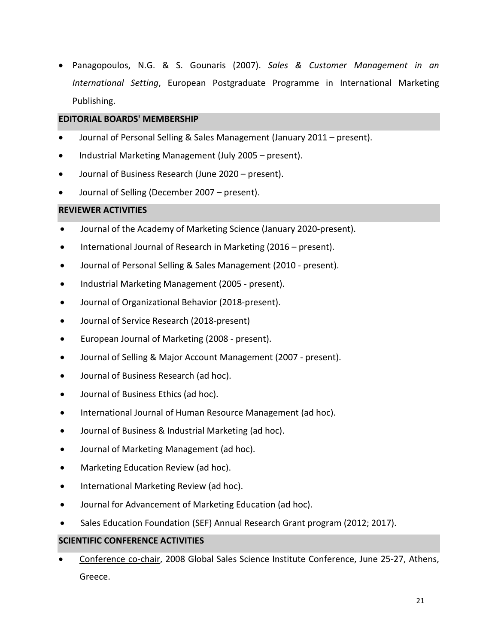• Panagopoulos, N.G. & S. Gounaris (2007). *Sales & Customer Management in an International Setting*, European Postgraduate Programme in International Marketing Publishing.

# **EDITORIAL BOARDS' MEMBERSHIP**

- Journal of Personal Selling & Sales Management (January 2011 present).
- Industrial Marketing Management (July 2005 present).
- Journal of Business Research (June 2020 present).
- Journal of Selling (December 2007 present).

# **REVIEWER ACTIVITIES**

- Journal of the Academy of Marketing Science (January 2020-present).
- International Journal of Research in Marketing (2016 present).
- Journal of Personal Selling & Sales Management (2010 present).
- Industrial Marketing Management (2005 present).
- Journal of Organizational Behavior (2018-present).
- Journal of Service Research (2018-present)
- European Journal of Marketing (2008 present).
- Journal of Selling & Major Account Management (2007 present).
- Journal of Business Research (ad hoc).
- Journal of Business Ethics (ad hoc).
- International Journal of Human Resource Management (ad hoc).
- Journal of Business & Industrial Marketing (ad hoc).
- Journal of Marketing Management (ad hoc).
- Marketing Education Review (ad hoc).
- International Marketing Review (ad hoc).
- Journal for Advancement of Marketing Education (ad hoc).
- Sales Education Foundation (SEF) Annual Research Grant program (2012; 2017).

# **SCIENTIFIC CONFERENCE ACTIVITIES**

Conference co-chair, 2008 Global Sales Science Institute Conference, June 25-27, Athens, Greece.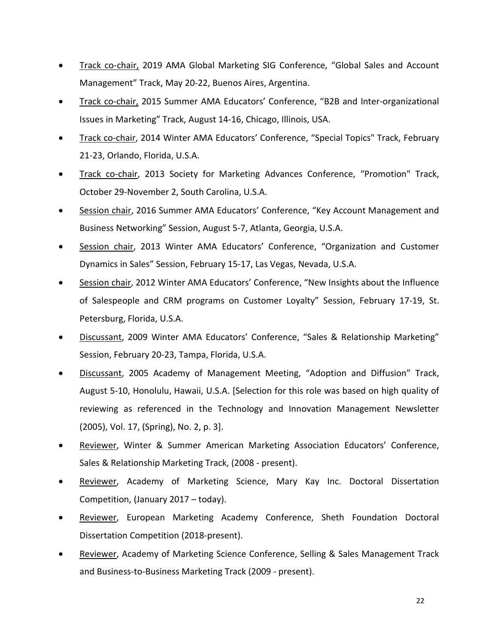- Track co-chair, 2019 AMA Global Marketing SIG Conference, "Global Sales and Account Management" Track, May 20-22, Buenos Aires, Argentina.
- Track co-chair, 2015 Summer AMA Educators' Conference, "B2B and Inter-organizational Issues in Marketing" Track, August 14-16, Chicago, Illinois, USA.
- Track co-chair, 2014 Winter AMA Educators' Conference, "Special Topics" Track, February 21-23, Orlando, Florida, U.S.A.
- Track co-chair, 2013 Society for Marketing Advances Conference, "Promotion" Track, October 29-November 2, South Carolina, U.S.A.
- Session chair, 2016 Summer AMA Educators' Conference, "Key Account Management and Business Networking" Session, August 5-7, Atlanta, Georgia, U.S.A.
- Session chair, 2013 Winter AMA Educators' Conference, "Organization and Customer Dynamics in Sales" Session, February 15-17, Las Vegas, Nevada, U.S.A.
- Session chair, 2012 Winter AMA Educators' Conference, "New Insights about the Influence of Salespeople and CRM programs on Customer Loyalty" Session, February 17-19, St. Petersburg, Florida, U.S.A.
- Discussant, 2009 Winter AMA Educators' Conference, "Sales & Relationship Marketing" Session, February 20-23, Tampa, Florida, U.S.A.
- Discussant, 2005 Academy of Management Meeting, "Adoption and Diffusion" Track, August 5-10, Honolulu, Hawaii, U.S.A. [Selection for this role was based on high quality of reviewing as referenced in the Technology and Innovation Management Newsletter (2005), Vol. 17, (Spring), No. 2, p. 3].
- Reviewer, Winter & Summer American Marketing Association Educators' Conference, Sales & Relationship Marketing Track, (2008 - present).
- Reviewer, Academy of Marketing Science, Mary Kay Inc. Doctoral Dissertation Competition, (January 2017 – today).
- Reviewer, European Marketing Academy Conference, Sheth Foundation Doctoral Dissertation Competition (2018-present).
- Reviewer, Academy of Marketing Science Conference, Selling & Sales Management Track and Business-to-Business Marketing Track (2009 - present).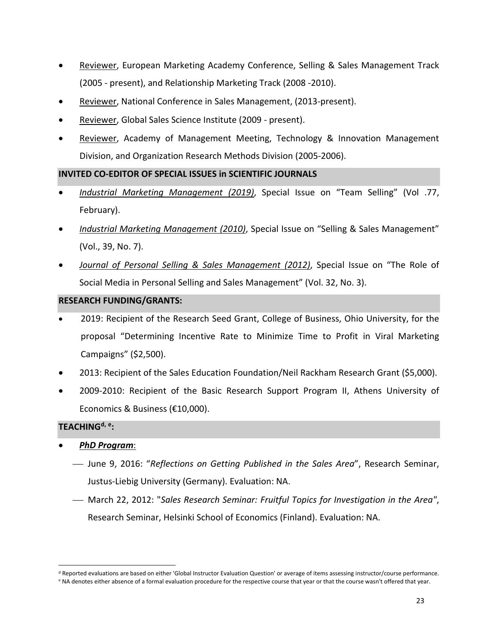- Reviewer, European Marketing Academy Conference, Selling & Sales Management Track (2005 - present), and Relationship Marketing Track (2008 -2010).
- Reviewer, National Conference in Sales Management, (2013-present).
- Reviewer, Global Sales Science Institute (2009 present).
- Reviewer, Academy of Management Meeting, Technology & Innovation Management Division, and Organization Research Methods Division (2005-2006).

# **INVITED CO-EDITOR OF SPECIAL ISSUES in SCIENTIFIC JOURNALS**

- *Industrial Marketing Management (2019)*, Special Issue on "Team Selling" (Vol .77, February).
- *Industrial Marketing Management (2010)*, Special Issue on "Selling & Sales Management" (Vol., 39, No. 7).
- *Journal of Personal Selling & Sales Management (2012)*, Special Issue on "The Role of Social Media in Personal Selling and Sales Management" (Vol. 32, No. 3).

# **RESEARCH FUNDING/GRANTS:**

- 2019: Recipient of the Research Seed Grant, College of Business, Ohio University, for the proposal "Determining Incentive Rate to Minimize Time to Profit in Viral Marketing Campaigns" (\$2,500).
- 2013: Recipient of the Sales Education Foundation/Neil Rackham Research Grant (\$5,000).
- 2009-2010: Recipient of the Basic Research Support Program II, Athens University of Economics & Business (€10,000).

# **TEACHING[d,](#page-22-0) [e](#page-22-1):**

- *PhD Program*:
	- June 9, 2016: "*Reflections on Getting Published in the Sales Area*", Research Seminar, Justus-Liebig University (Germany). Evaluation: NA.
	- March 22, 2012: "*Sales Research Seminar: Fruitful Topics for Investigation in the Area"*, Research Seminar, Helsinki School of Economics (Finland). Evaluation: NA.

<sup>&</sup>lt;sup>d</sup> Reported evaluations are based on either 'Global Instructor Evaluation Question' or average of items assessing instructor/course performance.

<span id="page-22-1"></span><span id="page-22-0"></span><sup>e</sup> NA denotes either absence of a formal evaluation procedure for the respective course that year or that the course wasn't offered that year.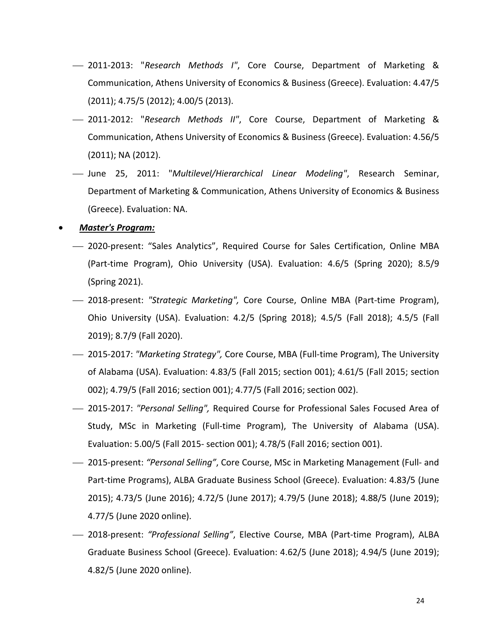- 2011-2013: "*Research Methods I"*, Core Course, Department of Marketing & Communication, Athens University of Economics & Business (Greece). Evaluation: 4.47/5 (2011); 4.75/5 (2012); 4.00/5 (2013).
- 2011-2012: "*Research Methods ΙΙ"*, Core Course, Department of Marketing & Communication, Athens University of Economics & Business (Greece). Evaluation: 4.56/5 (2011); NA (2012).
- June 25, 2011: "*Multilevel/Hierarchical Linear Modeling"*, Research Seminar, Department of Marketing & Communication, Athens University of Economics & Business (Greece). Evaluation: NA.

#### • *Master's Program:*

- 2020-present: "Sales Analytics", Required Course for Sales Certification, Online MBA (Part-time Program), Ohio University (USA). Evaluation: 4.6/5 (Spring 2020); 8.5/9 (Spring 2021).
- 2018-present: *"Strategic Marketing",* Core Course, Online MBA (Part-time Program), Ohio University (USA). Evaluation: 4.2/5 (Spring 2018); 4.5/5 (Fall 2018); 4.5/5 (Fall 2019); 8.7/9 (Fall 2020).
- 2015-2017: *"Marketing Strategy",* Core Course, MBA (Full-time Program), The University of Alabama (USA). Evaluation: 4.83/5 (Fall 2015; section 001); 4.61/5 (Fall 2015; section 002); 4.79/5 (Fall 2016; section 001); 4.77/5 (Fall 2016; section 002).
- 2015-2017: *"Personal Selling",* Required Course for Professional Sales Focused Area of Study, MSc in Marketing (Full-time Program), The University of Alabama (USA). Evaluation: 5.00/5 (Fall 2015- section 001); 4.78/5 (Fall 2016; section 001).
- 2015-present: *"Personal Selling"*, Core Course, MSc in Marketing Management (Full- and Part-time Programs), ALBA Graduate Business School (Greece). Evaluation: 4.83/5 (June 2015); 4.73/5 (June 2016); 4.72/5 (June 2017); 4.79/5 (June 2018); 4.88/5 (June 2019); 4.77/5 (June 2020 online).
- 2018-present: *"Professional Selling"*, Elective Course, MBA (Part-time Program), ALBA Graduate Business School (Greece). Evaluation: 4.62/5 (June 2018); 4.94/5 (June 2019); 4.82/5 (June 2020 online).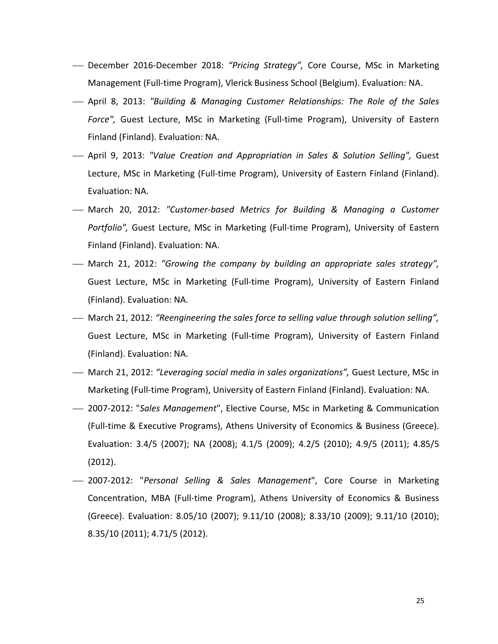- December 2016-December 2018: *"Pricing Strategy",* Core Course, MSc in Marketing Management (Full-time Program), Vlerick Business School (Belgium). Evaluation: NA.
- April 8, 2013: *"Building & Managing Customer Relationships: The Role of the Sales Force",* Guest Lecture, MSc in Marketing (Full-time Program), University of Eastern Finland (Finland). Evaluation: NA.
- April 9, 2013: *"Value Creation and Appropriation in Sales & Solution Selling",* Guest Lecture, MSc in Marketing (Full-time Program), University of Eastern Finland (Finland). Evaluation: NA.
- March 20, 2012: *"Customer-based Metrics for Building & Managing a Customer Portfolio",* Guest Lecture, MSc in Marketing (Full-time Program), University of Eastern Finland (Finland). Evaluation: NA.
- March 21, 2012: *"Growing the company by building an appropriate sales strategy",*  Guest Lecture, MSc in Marketing (Full-time Program), University of Eastern Finland (Finland). Evaluation: NA.
- March 21, 2012: *"Reengineering the sales force to selling value through solution selling",*  Guest Lecture, MSc in Marketing (Full-time Program), University of Eastern Finland (Finland). Evaluation: NA.
- March 21, 2012: *"Leveraging social media in sales organizations",* Guest Lecture, MSc in Marketing (Full-time Program), University of Eastern Finland (Finland). Evaluation: NA.
- 2007-2012: "*Sales Management*", Elective Course, MSc in Marketing & Communication (Full-time & Executive Programs), Athens University of Economics & Business (Greece). Evaluation: 3.4/5 (2007); NA (2008); 4.1/5 (2009); 4.2/5 (2010); 4.9/5 (2011); 4.85/5 (2012).
- 2007-2012: "*Personal Selling & Sales Management*", Core Course in Marketing Concentration, MBA (Full-time Program), Athens University of Economics & Business (Greece). Evaluation: 8.05/10 (2007); 9.11/10 (2008); 8.33/10 (2009); 9.11/10 (2010); 8.35/10 (2011); 4.71/5 (2012).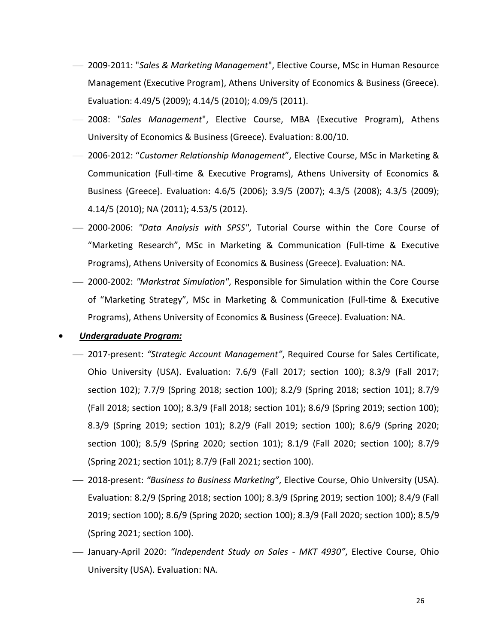- 2009-2011: "*Sales & Marketing Management*", Elective Course, MSc in Human Resource Management (Executive Program), Athens University of Economics & Business (Greece). Evaluation: 4.49/5 (2009); 4.14/5 (2010); 4.09/5 (2011).
- 2008: "*Sales Management*", Elective Course, ΜΒΑ (Executive Program), Athens University of Economics & Business (Greece). Evaluation: 8.00/10.
- 2006-2012: "*Customer Relationship Management*", Elective Course, MSc in Marketing & Communication (Full-time & Executive Programs), Athens University of Economics & Business (Greece). Evaluation: 4.6/5 (2006); 3.9/5 (2007); 4.3/5 (2008); 4.3/5 (2009); 4.14/5 (2010); NA (2011); 4.53/5 (2012).
- 2000-2006: *"Data Analysis with SPSS"*, Tutorial Course within the Core Course of "Marketing Research", MSc in Marketing & Communication (Full-time & Executive Programs), Athens University of Economics & Business (Greece). Evaluation: NA.
- 2000-2002: *"Markstrat Simulation"*, Responsible for Simulation within the Core Course of "Marketing Strategy", MSc in Marketing & Communication (Full-time & Executive Programs), Athens University of Economics & Business (Greece). Evaluation: NA.

#### • *Undergraduate Program:*

- 2017-present: *"Strategic Account Management"*, Required Course for Sales Certificate, Ohio University (USA). Evaluation: 7.6/9 (Fall 2017; section 100); 8.3/9 (Fall 2017; section 102); 7.7/9 (Spring 2018; section 100); 8.2/9 (Spring 2018; section 101); 8.7/9 (Fall 2018; section 100); 8.3/9 (Fall 2018; section 101); 8.6/9 (Spring 2019; section 100); 8.3/9 (Spring 2019; section 101); 8.2/9 (Fall 2019; section 100); 8.6/9 (Spring 2020; section 100); 8.5/9 (Spring 2020; section 101); 8.1/9 (Fall 2020; section 100); 8.7/9 (Spring 2021; section 101); 8.7/9 (Fall 2021; section 100).
- 2018-present: *"Business to Business Marketing"*, Elective Course, Ohio University (USA). Evaluation: 8.2/9 (Spring 2018; section 100); 8.3/9 (Spring 2019; section 100); 8.4/9 (Fall 2019; section 100); 8.6/9 (Spring 2020; section 100); 8.3/9 (Fall 2020; section 100); 8.5/9 (Spring 2021; section 100).
- January-April 2020: *"Independent Study on Sales - MKT 4930"*, Elective Course, Ohio University (USA). Evaluation: NA.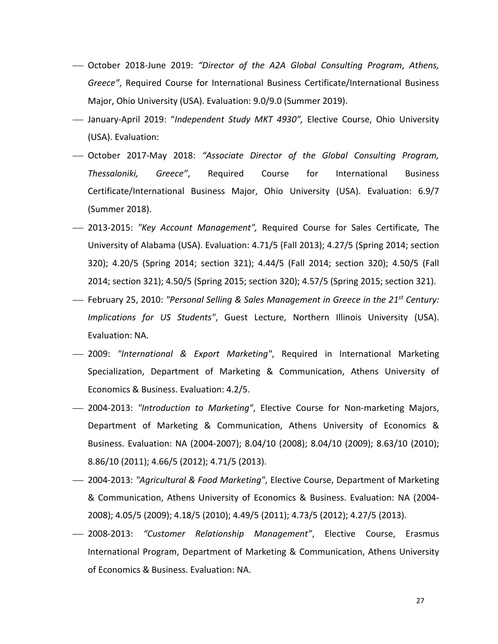- October 2018-June 2019: *"Director of the A2A Global Consulting Program*, *Athens, Greece"*, Required Course for International Business Certificate/International Business Major, Ohio University (USA). Evaluation: 9.0/9.0 (Summer 2019).
- January-April 2019: "*Independent Study MKT 4930",* Elective Course, Ohio University (USA). Evaluation:
- October 2017-May 2018: *"Associate Director of the Global Consulting Program, Thessaloniki, Greece"*, Required Course for International Business Certificate/International Business Major, Ohio University (USA). Evaluation: 6.9/7 (Summer 2018).
- 2013-2015: *"Key Account Management",* Required Course for Sales Certificate*,* The University of Alabama (USA). Evaluation: 4.71/5 (Fall 2013); 4.27/5 (Spring 2014; section 320); 4.20/5 (Spring 2014; section 321); 4.44/5 (Fall 2014; section 320); 4.50/5 (Fall 2014; section 321); 4.50/5 (Spring 2015; section 320); 4.57/5 (Spring 2015; section 321).
- February 25, 2010: *"Personal Selling & Sales Management in Greece in the 21st Century: Implications for US Students"*, Guest Lecture, Northern Illinois University (USA). Evaluation: NA.
- 2009: *"International & Export Marketing"*, Required in International Marketing Specialization, Department of Marketing & Communication, Athens University of Economics & Business. Evaluation: 4.2/5.
- 2004-2013: *"Introduction to Marketing"*, Elective Course for Non-marketing Majors, Department of Marketing & Communication, Athens University of Economics & Business. Evaluation: NA (2004-2007); 8.04/10 (2008); 8.04/10 (2009); 8.63/10 (2010); 8.86/10 (2011); 4.66/5 (2012); 4.71/5 (2013).
- 2004-2013: *"Agricultural & Food Marketing"*, Elective Course, Department of Marketing & Communication, Athens University of Economics & Business. Evaluation: NA (2004- 2008); 4.05/5 (2009); 4.18/5 (2010); 4.49/5 (2011); 4.73/5 (2012); 4.27/5 (2013).
- 2008-2013: *"Customer Relationship Management"*, Elective Course, Erasmus International Program, Department of Marketing & Communication, Athens University of Economics & Business. Evaluation: NA.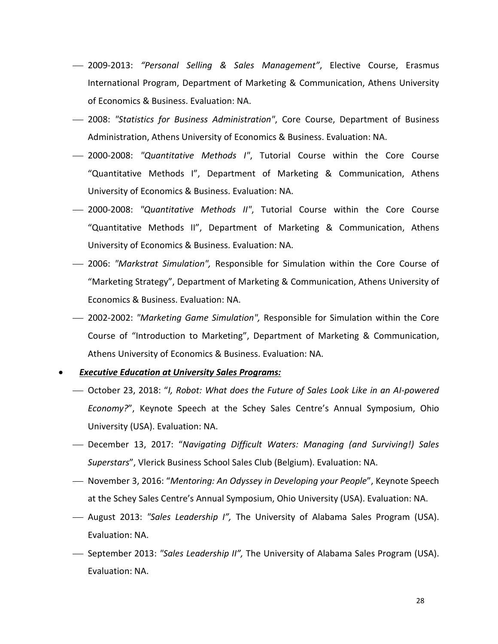- 2009-2013: *"Personal Selling & Sales Management"*, Elective Course, Erasmus International Program, Department of Marketing & Communication, Athens University of Economics & Business. Evaluation: NA.
- 2008: *"Statistics for Business Administration"*, Core Course, Department of Business Administration, Athens University of Economics & Business. Evaluation: NA.
- 2000-2008: *"Quantitative Methods I"*, Tutorial Course within the Core Course "Quantitative Methods I", Department of Marketing & Communication, Athens University of Economics & Business. Evaluation: NA.
- 2000-2008: *"Quantitative Methods II"*, Tutorial Course within the Core Course "Quantitative Methods II", Department of Marketing & Communication, Athens University of Economics & Business. Evaluation: NA.
- 2006: *"Markstrat Simulation",* Responsible for Simulation within the Core Course of "Marketing Strategy", Department of Marketing & Communication, Athens University of Economics & Business. Evaluation: NA.
- 2002-2002: *"Marketing Game Simulation",* Responsible for Simulation within the Core Course of "Introduction to Marketing", Department of Marketing & Communication, Athens University of Economics & Business. Evaluation: NA.
- *Executive Education at University Sales Programs:*
	- October 23, 2018: "*I, Robot: What does the Future of Sales Look Like in an AI-powered Economy?*", Keynote Speech at the Schey Sales Centre's Annual Symposium, Ohio University (USA). Evaluation: NA.
	- December 13, 2017: "*Navigating Difficult Waters: Managing (and Surviving!) Sales Superstars*", Vlerick Business School Sales Club (Belgium). Evaluation: NA.
	- November 3, 2016: "*Mentoring: An Odyssey in Developing your People*", Keynote Speech at the Schey Sales Centre's Annual Symposium, Ohio University (USA). Evaluation: NA.
	- August 2013: *"Sales Leadership I",* The University of Alabama Sales Program (USA). Evaluation: NA.
	- September 2013: *"Sales Leadership II",* The University of Alabama Sales Program (USA). Evaluation: NA.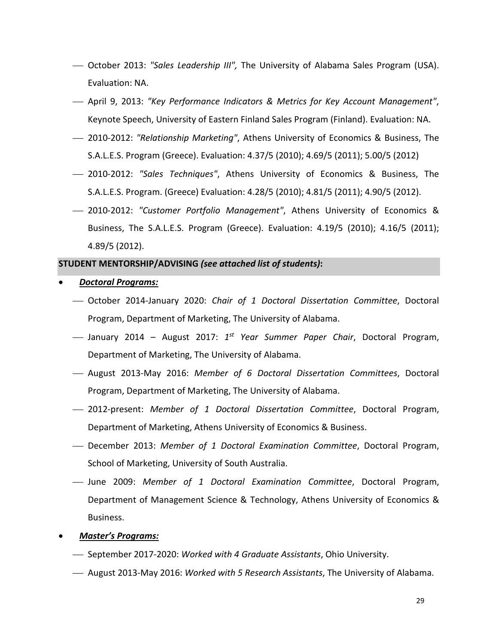- October 2013: *"Sales Leadership III",* The University of Alabama Sales Program (USA). Evaluation: NA.
- April 9, 2013: *"Key Performance Indicators & Metrics for Key Account Management"*, Keynote Speech, University of Eastern Finland Sales Program (Finland). Evaluation: NA.
- 2010-2012: *"Relationship Marketing"*, Athens University of Economics & Business, The S.A.L.E.S. Program (Greece). Evaluation: 4.37/5 (2010); 4.69/5 (2011); 5.00/5 (2012)
- 2010-2012: *"Sales Techniques"*, Athens University of Economics & Business, The S.A.L.E.S. Program. (Greece) Evaluation: 4.28/5 (2010); 4.81/5 (2011); 4.90/5 (2012).
- 2010-2012: *"Customer Portfolio Management"*, Athens University of Economics & Business, The S.A.L.E.S. Program (Greece). Evaluation: 4.19/5 (2010); 4.16/5 (2011); 4.89/5 (2012).

#### **STUDENT MENTORSHIP/ADVISING** *(see attached list of students)***:**

- *Doctoral Programs:*
	- October 2014-January 2020: *Chair of 1 Doctoral Dissertation Committee*, Doctoral Program, Department of Marketing, The University of Alabama.
	- January 2014 August 2017: *1st Year Summer Paper Chair*, Doctoral Program, Department of Marketing, The University of Alabama.
	- August 2013-May 2016: *Member of 6 Doctoral Dissertation Committees*, Doctoral Program, Department of Marketing, The University of Alabama.
	- 2012-present: *Member of 1 Doctoral Dissertation Committee*, Doctoral Program, Department of Marketing, Athens University of Economics & Business.
	- December 2013: *Member of 1 Doctoral Examination Committee*, Doctoral Program, School of Marketing, University of South Australia.
	- June 2009: *Member of 1 Doctoral Examination Committee*, Doctoral Program, Department of Management Science & Technology, Athens University of Economics & Business.
- *Master's Programs:*
	- September 2017-2020: *Worked with 4 Graduate Assistants*, Ohio University.
	- August 2013-May 2016: *Worked with 5 Research Assistants*, The University of Alabama.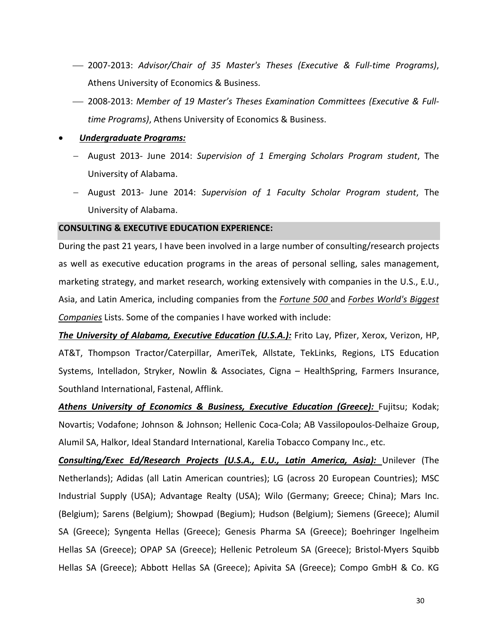- 2007-2013: *Advisor/Chair of 35 Master's Theses (Executive & Full-time Programs)*, Athens University of Economics & Business.
- 2008-2013: *Member of 19 Master's Theses Examination Committees (Executive & Fulltime Programs)*, Athens University of Economics & Business.

#### • *Undergraduate Programs:*

- − August 2013- June 2014: *Supervision of 1 Emerging Scholars Program student*, The University of Alabama.
- − August 2013- June 2014: *Supervision of 1 Faculty Scholar Program student*, The University of Alabama.

#### **CONSULTING & EXECUTIVE EDUCATION EXPERIENCE:**

During the past 21 years, I have been involved in a large number of consulting/research projects as well as executive education programs in the areas of personal selling, sales management, marketing strategy, and market research, working extensively with companies in the U.S., E.U., Asia, and Latin America, including companies from the *Fortune 500* and *Forbes World's Biggest Companies* Lists. Some of the companies I have worked with include:

*The University of Alabama, Executive Education (U.S.A.):* Frito Lay, Pfizer, Xerox, Verizon, HP, AT&T, Thompson Tractor/Caterpillar, AmeriTek, Allstate, TekLinks, Regions, LTS Education Systems, Intelladon, Stryker, Nowlin & Associates, Cigna – HealthSpring, Farmers Insurance, Southland International, Fastenal, Afflink.

Athens University of Economics & Business, Executive Education (Greece): Fujitsu; Kodak; Novartis; Vodafone; Johnson & Johnson; Hellenic Coca-Cola; AB Vassilopoulos-Delhaize Group, Alumil SA, Halkor, Ideal Standard International, Karelia Tobacco Company Inc., etc.

*Consulting/Exec Ed/Research Projects (U.S.A., E.U., Latin America, Asia):* Unilever (The Netherlands); Adidas (all Latin American countries); LG (across 20 European Countries); MSC Industrial Supply (USA); Advantage Realty (USA); Wilo (Germany; Greece; China); Mars Inc. (Belgium); Sarens (Belgium); Showpad (Begium); Hudson (Belgium); Siemens (Greece); Alumil SA (Greece); Syngenta Hellas (Greece); Genesis Pharma SA (Greece); Boehringer Ingelheim Hellas SA (Greece); OPAP SA (Greece); Hellenic Petroleum SA (Greece); Bristol-Myers Squibb Hellas SA (Greece); Abbott Hellas SA (Greece); Apivita SA (Greece); Compo GmbH & Co. KG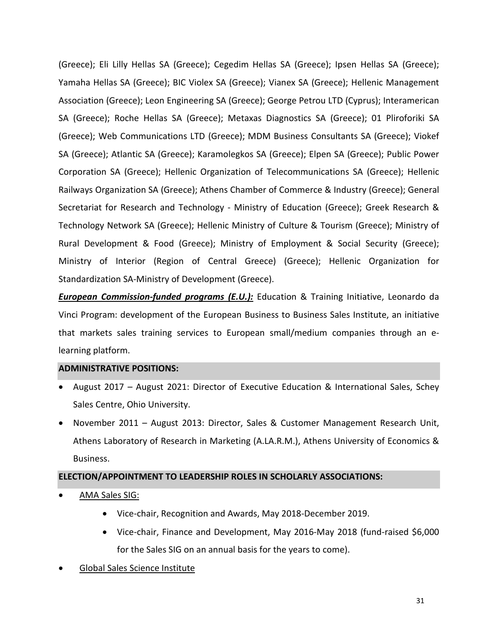(Greece); Eli Lilly Hellas SA (Greece); Cegedim Hellas SA (Greece); Ipsen Hellas SA (Greece); Yamaha Hellas SA (Greece); BIC Violex SA (Greece); Vianex SA (Greece); Hellenic Management Association (Greece); Leon Engineering SA (Greece); George Petrou LTD (Cyprus); Interamerican SA (Greece); Roche Hellas SA (Greece); Metaxas Diagnostics SA (Greece); 01 Pliroforiki SA (Greece); Web Communications LTD (Greece); MDM Business Consultants SA (Greece); Viokef SA (Greece); Atlantic SA (Greece); Karamolegkos SA (Greece); Elpen SA (Greece); Public Power Corporation SA (Greece); Hellenic Organization of Telecommunications SA (Greece); Hellenic Railways Organization SA (Greece); Athens Chamber of Commerce & Industry (Greece); General Secretariat for Research and Technology - Ministry of Education (Greece); Greek Research & Technology Network SA (Greece); Hellenic Ministry of Culture & Tourism (Greece); Ministry of Rural Development & Food (Greece); Ministry of Employment & Social Security (Greece); Ministry of Interior (Region of Central Greece) (Greece); Hellenic Organization for Standardization SA-Ministry of Development (Greece).

*European Commission-funded programs (E.U.):* Education & Training Initiative, Leonardo da Vinci Program: development of the European Business to Business Sales Institute, an initiative that markets sales training services to European small/medium companies through an elearning platform.

# **ADMINISTRATIVE POSITIONS:**

- August 2017 August 2021: Director of Executive Education & International Sales, Schey Sales Centre, Ohio University.
- November 2011 August 2013: Director, Sales & Customer Management Research Unit, Athens Laboratory of Research in Marketing (A.LA.R.M.), Athens University of Economics & Business.

# **ELECTION/APPOINTMENT TO LEADERSHIP ROLES IN SCHOLARLY ASSOCIATIONS:**

- AMA Sales SIG:
	- Vice-chair, Recognition and Awards, May 2018-December 2019.
	- Vice-chair, Finance and Development, May 2016-May 2018 (fund-raised \$6,000 for the Sales SIG on an annual basis for the years to come).
- Global Sales Science Institute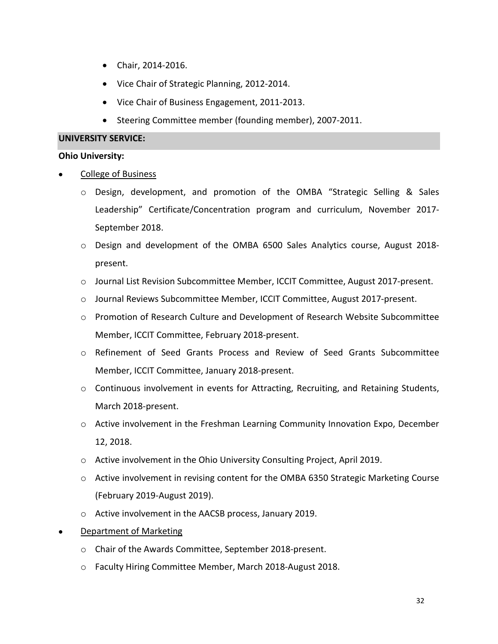- Chair, 2014-2016.
- Vice Chair of Strategic Planning, 2012-2014.
- Vice Chair of Business Engagement, 2011-2013.
- Steering Committee member (founding member), 2007-2011.

#### **UNIVERSITY SERVICE:**

#### **Ohio University:**

- College of Business
	- o Design, development, and promotion of the OMBA "Strategic Selling & Sales Leadership" Certificate/Concentration program and curriculum, November 2017- September 2018.
	- o Design and development of the OMBA 6500 Sales Analytics course, August 2018 present.
	- o Journal List Revision Subcommittee Member, ICCIT Committee, August 2017-present.
	- o Journal Reviews Subcommittee Member, ICCIT Committee, August 2017-present.
	- o Promotion of Research Culture and Development of Research Website Subcommittee Member, ICCIT Committee, February 2018-present.
	- o Refinement of Seed Grants Process and Review of Seed Grants Subcommittee Member, ICCIT Committee, January 2018-present.
	- o Continuous involvement in events for Attracting, Recruiting, and Retaining Students, March 2018-present.
	- $\circ$  Active involvement in the Freshman Learning Community Innovation Expo, December 12, 2018.
	- o Active involvement in the Ohio University Consulting Project, April 2019.
	- $\circ$  Active involvement in revising content for the OMBA 6350 Strategic Marketing Course (February 2019-August 2019).
	- o Active involvement in the AACSB process, January 2019.
- **Department of Marketing** 
	- o Chair of the Awards Committee, September 2018-present.
	- o Faculty Hiring Committee Member, March 2018-August 2018.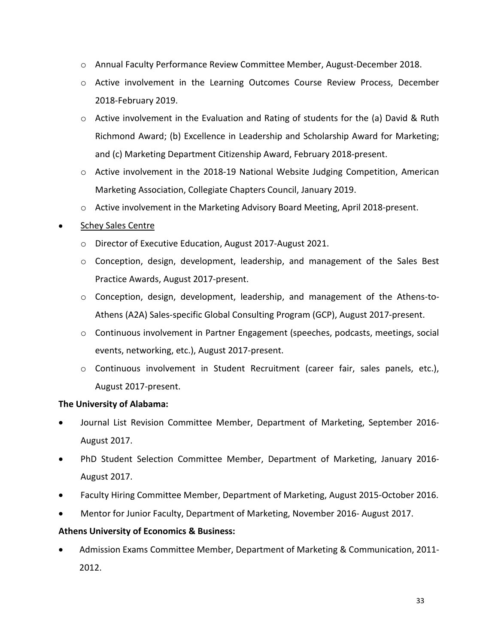- o Annual Faculty Performance Review Committee Member, August-December 2018.
- o Active involvement in the Learning Outcomes Course Review Process, December 2018-February 2019.
- $\circ$  Active involvement in the Evaluation and Rating of students for the (a) David & Ruth Richmond Award; (b) Excellence in Leadership and Scholarship Award for Marketing; and (c) Marketing Department Citizenship Award, February 2018-present.
- o Active involvement in the 2018-19 National Website Judging Competition, American Marketing Association, Collegiate Chapters Council, January 2019.
- o Active involvement in the Marketing Advisory Board Meeting, April 2018-present.

# • Schey Sales Centre

- o Director of Executive Education, August 2017-August 2021.
- $\circ$  Conception, design, development, leadership, and management of the Sales Best Practice Awards, August 2017-present.
- o Conception, design, development, leadership, and management of the Athens-to-Athens (A2A) Sales-specific Global Consulting Program (GCP), August 2017-present.
- $\circ$  Continuous involvement in Partner Engagement (speeches, podcasts, meetings, social events, networking, etc.), August 2017-present.
- o Continuous involvement in Student Recruitment (career fair, sales panels, etc.), August 2017-present.

# **The University of Alabama:**

- Journal List Revision Committee Member, Department of Marketing, September 2016- August 2017.
- PhD Student Selection Committee Member, Department of Marketing, January 2016- August 2017.
- Faculty Hiring Committee Member, Department of Marketing, August 2015-October 2016.
- Mentor for Junior Faculty, Department of Marketing, November 2016- August 2017.

# **Athens University of Economics & Business:**

• Admission Exams Committee Member, Department of Marketing & Communication, 2011- 2012.